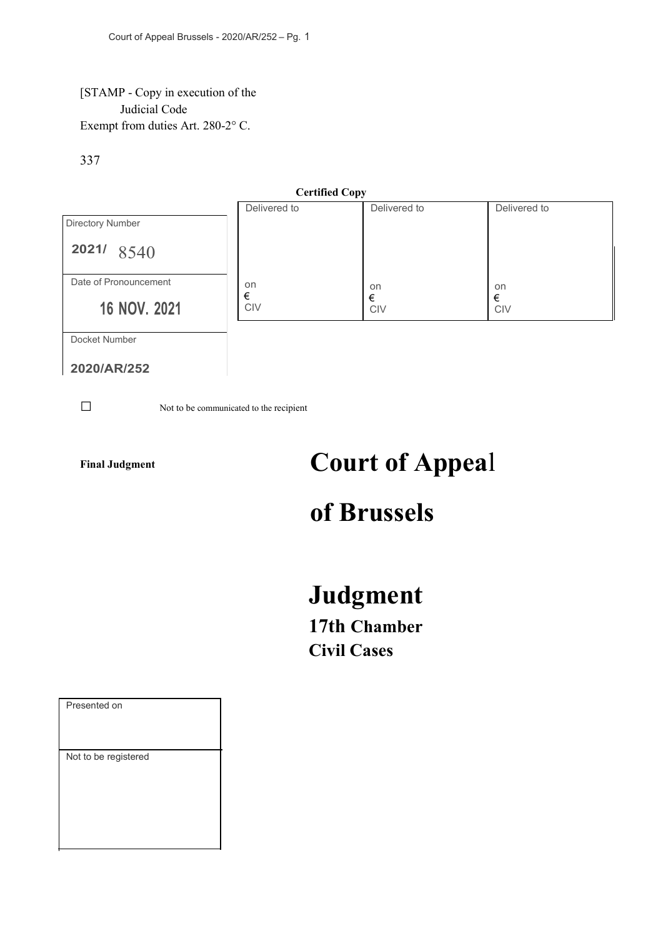## [STAMP - Copy in execution of the Judicial Code Exempt from duties Art. 280-2° C.

## 337



**2020/AR/252**

**□** Not to be communicated to the recipient

# Final Judgment **Court of Appeal**

# **of Brussels**

# **Judgment**

**17th Chamber Civil Cases**

| Presented on         |
|----------------------|
| Not to be registered |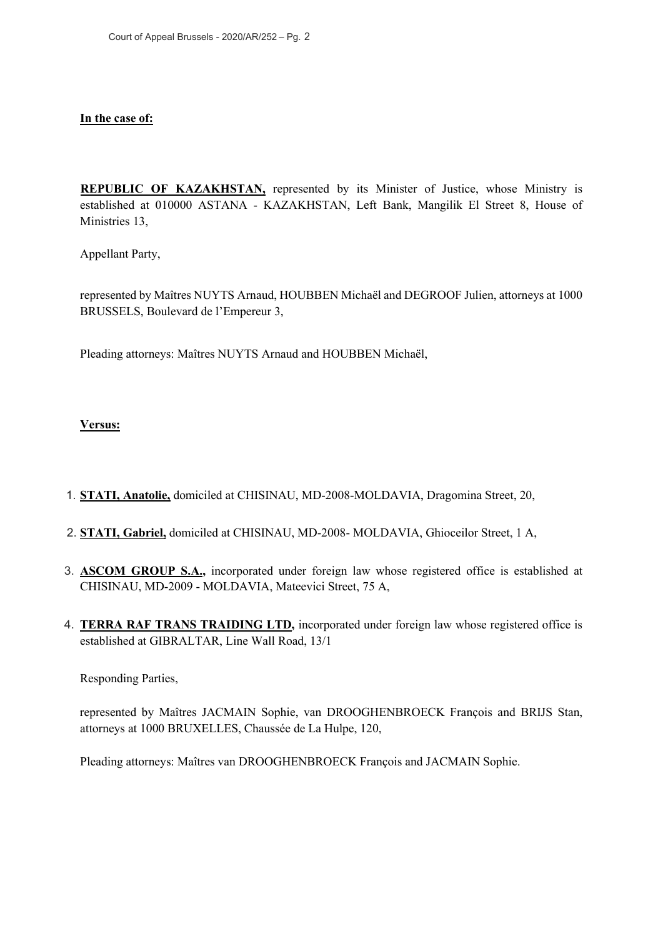### **In the case of:**

**REPUBLIC OF KAZAKHSTAN,** represented by its Minister of Justice, whose Ministry is established at 010000 ASTANA - KAZAKHSTAN, Left Bank, Mangilik El Street 8, House of Ministries 13,

Appellant Party,

represented by Maîtres NUYTS Arnaud, HOUBBEN Michaël and DEGROOF Julien, attorneys at 1000 BRUSSELS, Boulevard de l'Empereur 3,

Pleading attorneys: Maîtres NUYTS Arnaud and HOUBBEN Michaël,

**Versus:**

- 1. **STATI, Anatolie,** domiciled at CHISINAU, MD-2008-MOLDAVIA, Dragomina Street, 20,
- 2. **STATI, Gabriel,** domiciled at CHISINAU, MD-2008- MOLDAVIA, Ghioceilor Street, 1 A,
- 3. **ASCOM GROUP S.A.,** incorporated under foreign law whose registered office is established at CHISINAU, MD-2009 - MOLDAVIA, Mateevici Street, 75 A,
- 4. **TERRA RAF TRANS TRAIDING LTD,** incorporated under foreign law whose registered office is established at GIBRALTAR, Line Wall Road, 13/1

Responding Parties,

represented by Maîtres JACMAIN Sophie, van DROOGHENBROECK François and BRIJS Stan, attorneys at 1000 BRUXELLES, Chaussée de La Hulpe, 120,

Pleading attorneys: Maîtres van DROOGHENBROECK François and JACMAIN Sophie.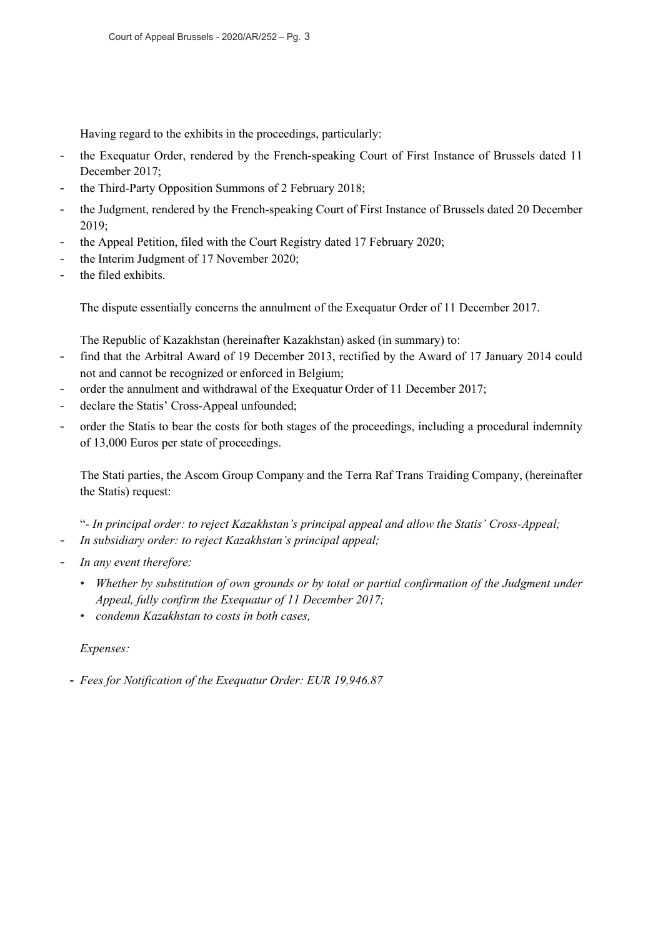Having regard to the exhibits in the proceedings, particularly:

- the Exequatur Order, rendered by the French-speaking Court of First Instance of Brussels dated 11 December 2017;
- the Third-Party Opposition Summons of 2 February 2018;
- the Judgment, rendered by the French-speaking Court of First Instance of Brussels dated 20 December 2019;
- the Appeal Petition, filed with the Court Registry dated 17 February 2020;
- the Interim Judgment of 17 November 2020;
- the filed exhibits.

The dispute essentially concerns the annulment of the Exequatur Order of 11 December 2017.

The Republic of Kazakhstan (hereinafter Kazakhstan) asked (in summary) to:

- find that the Arbitral Award of 19 December 2013, rectified by the Award of 17 January 2014 could not and cannot be recognized or enforced in Belgium;
- order the annulment and withdrawal of the Exequatur Order of 11 December 2017;
- declare the Statis' Cross-Appeal unfounded;
- order the Statis to bear the costs for both stages of the proceedings, including a procedural indemnity of 13,000 Euros per state of proceedings.

The Stati parties, the Ascom Group Company and the Terra Raf Trans Traiding Company, (hereinafter the Statis) request:

"- *In principal order: to reject Kazakhstan's principal appeal and allow the Statis' Cross-Appeal;*

- *In subsidiary order: to reject Kazakhstan's principal appeal;*
- In any event therefore:
	- *Whether by substitution of own grounds or by total or partial confirmation of the Judgment under Appeal, fully confirm the Exequatur of 11 December 2017;*
	- *condemn Kazakhstan to costs in both cases,*

## *Expenses:*

- *Fees for Notification of the Exequatur Order: EUR 19,946.87*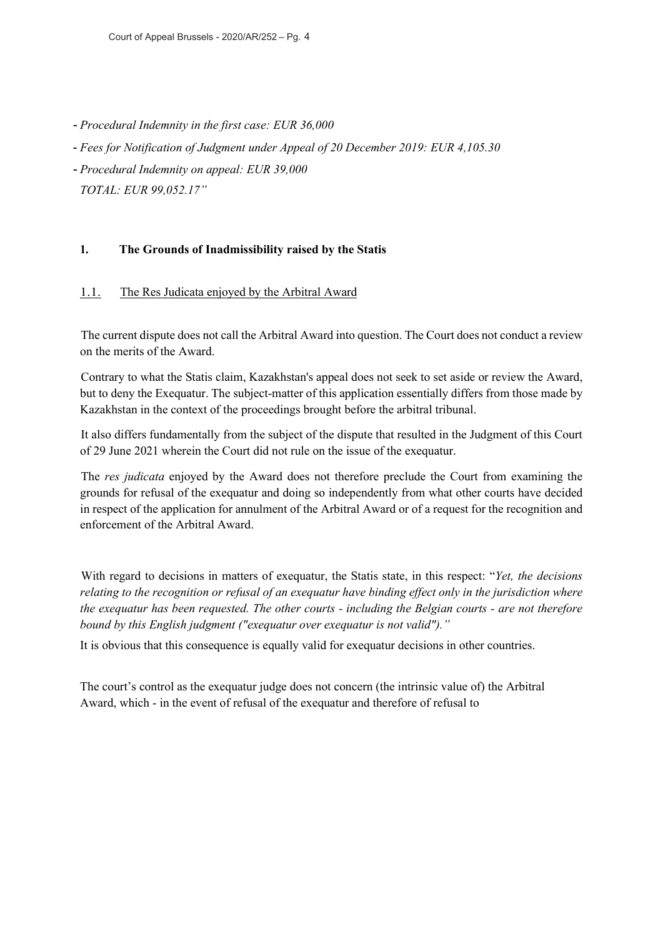- *Procedural Indemnity in the first case: EUR 36,000*
- *Fees for Notification of Judgment under Appeal of 20 December 2019: EUR 4,105.30*
- *Procedural Indemnity on appeal: EUR 39,000 TOTAL: EUR 99,052.17"*

## **1. The Grounds of Inadmissibility raised by the Statis**

## 1.1. The Res Judicata enjoyed by the Arbitral Award

The current dispute does not call the Arbitral Award into question. The Court does not conduct a review on the merits of the Award.

Contrary to what the Statis claim, Kazakhstan's appeal does not seek to set aside or review the Award, but to deny the Exequatur. The subject-matter of this application essentially differs from those made by Kazakhstan in the context of the proceedings brought before the arbitral tribunal.

It also differs fundamentally from the subject of the dispute that resulted in the Judgment of this Court of 29 June 2021 wherein the Court did not rule on the issue of the exequatur.

The *res judicata* enjoyed by the Award does not therefore preclude the Court from examining the grounds for refusal of the exequatur and doing so independently from what other courts have decided in respect of the application for annulment of the Arbitral Award or of a request for the recognition and enforcement of the Arbitral Award.

With regard to decisions in matters of exequatur, the Statis state, in this respect: "*Yet, the decisions relating to the recognition or refusal of an exequatur have binding effect only in the jurisdiction where the exequatur has been requested. The other courts - including the Belgian courts - are not therefore bound by this English judgment ("exequatur over exequatur is not valid")."*

It is obvious that this consequence is equally valid for exequatur decisions in other countries.

The court's control as the exequatur judge does not concern (the intrinsic value of) the Arbitral Award, which - in the event of refusal of the exequatur and therefore of refusal to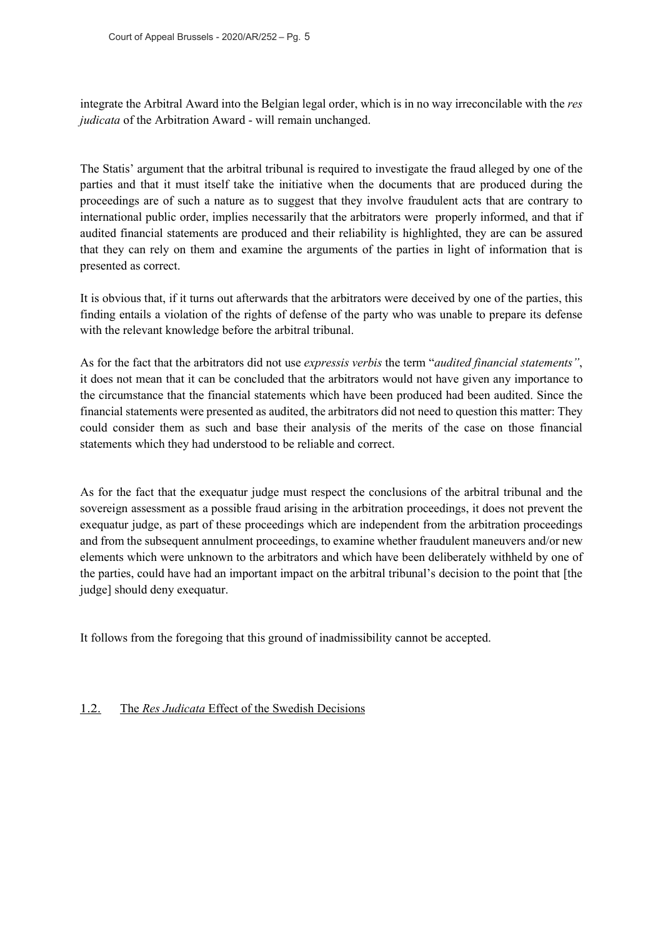integrate the Arbitral Award into the Belgian legal order, which is in no way irreconcilable with the *res judicata* of the Arbitration Award - will remain unchanged.

The Statis' argument that the arbitral tribunal is required to investigate the fraud alleged by one of the parties and that it must itself take the initiative when the documents that are produced during the proceedings are of such a nature as to suggest that they involve fraudulent acts that are contrary to international public order, implies necessarily that the arbitrators were properly informed, and that if audited financial statements are produced and their reliability is highlighted, they are can be assured that they can rely on them and examine the arguments of the parties in light of information that is presented as correct.

It is obvious that, if it turns out afterwards that the arbitrators were deceived by one of the parties, this finding entails a violation of the rights of defense of the party who was unable to prepare its defense with the relevant knowledge before the arbitral tribunal.

As for the fact that the arbitrators did not use *expressis verbis* the term "*audited financial statements"*, it does not mean that it can be concluded that the arbitrators would not have given any importance to the circumstance that the financial statements which have been produced had been audited. Since the financial statements were presented as audited, the arbitrators did not need to question this matter: They could consider them as such and base their analysis of the merits of the case on those financial statements which they had understood to be reliable and correct.

As for the fact that the exequatur judge must respect the conclusions of the arbitral tribunal and the sovereign assessment as a possible fraud arising in the arbitration proceedings, it does not prevent the exequatur judge, as part of these proceedings which are independent from the arbitration proceedings and from the subsequent annulment proceedings, to examine whether fraudulent maneuvers and/or new elements which were unknown to the arbitrators and which have been deliberately withheld by one of the parties, could have had an important impact on the arbitral tribunal's decision to the point that [the judge] should deny exequatur.

It follows from the foregoing that this ground of inadmissibility cannot be accepted.

## 1.2. The *Res Judicata* Effect of the Swedish Decisions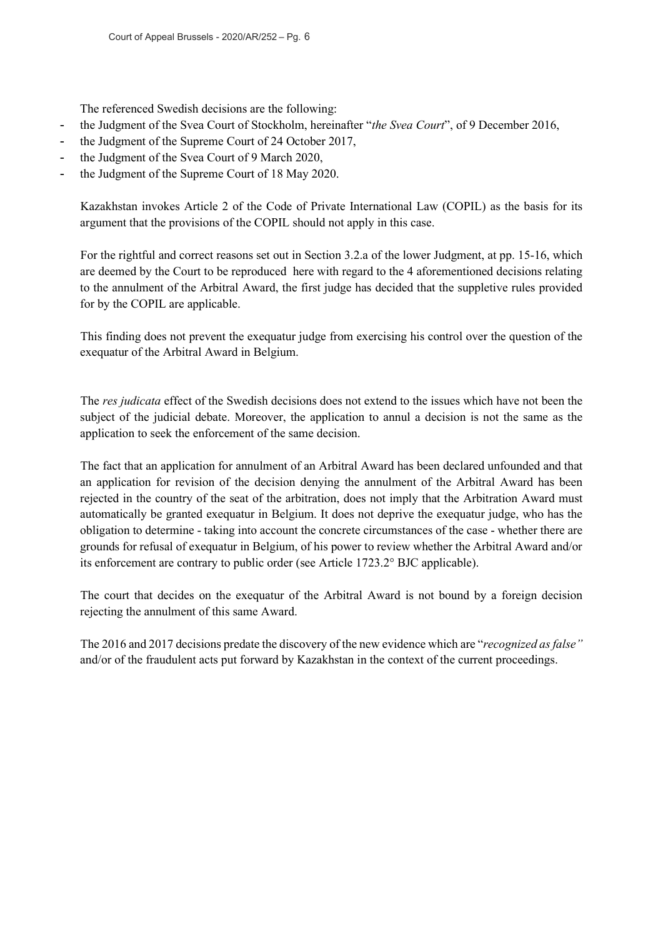The referenced Swedish decisions are the following:

- the Judgment of the Svea Court of Stockholm, hereinafter "*the Svea Court*", of 9 December 2016,
- the Judgment of the Supreme Court of 24 October 2017,
- the Judgment of the Svea Court of 9 March 2020,
- the Judgment of the Supreme Court of 18 May 2020.

Kazakhstan invokes Article 2 of the Code of Private International Law (COPIL) as the basis for its argument that the provisions of the COPIL should not apply in this case.

For the rightful and correct reasons set out in Section 3.2.a of the lower Judgment, at pp. 15-16, which are deemed by the Court to be reproduced here with regard to the 4 aforementioned decisions relating to the annulment of the Arbitral Award, the first judge has decided that the suppletive rules provided for by the COPIL are applicable.

This finding does not prevent the exequatur judge from exercising his control over the question of the exequatur of the Arbitral Award in Belgium.

The *res judicata* effect of the Swedish decisions does not extend to the issues which have not been the subject of the judicial debate. Moreover, the application to annul a decision is not the same as the application to seek the enforcement of the same decision.

The fact that an application for annulment of an Arbitral Award has been declared unfounded and that an application for revision of the decision denying the annulment of the Arbitral Award has been rejected in the country of the seat of the arbitration, does not imply that the Arbitration Award must automatically be granted exequatur in Belgium. It does not deprive the exequatur judge, who has the obligation to determine - taking into account the concrete circumstances of the case - whether there are grounds for refusal of exequatur in Belgium, of his power to review whether the Arbitral Award and/or its enforcement are contrary to public order (see Article 1723.2° BJC applicable).

The court that decides on the exequatur of the Arbitral Award is not bound by a foreign decision rejecting the annulment of this same Award.

The 2016 and 2017 decisions predate the discovery of the new evidence which are "*recognized as false"* and/or of the fraudulent acts put forward by Kazakhstan in the context of the current proceedings.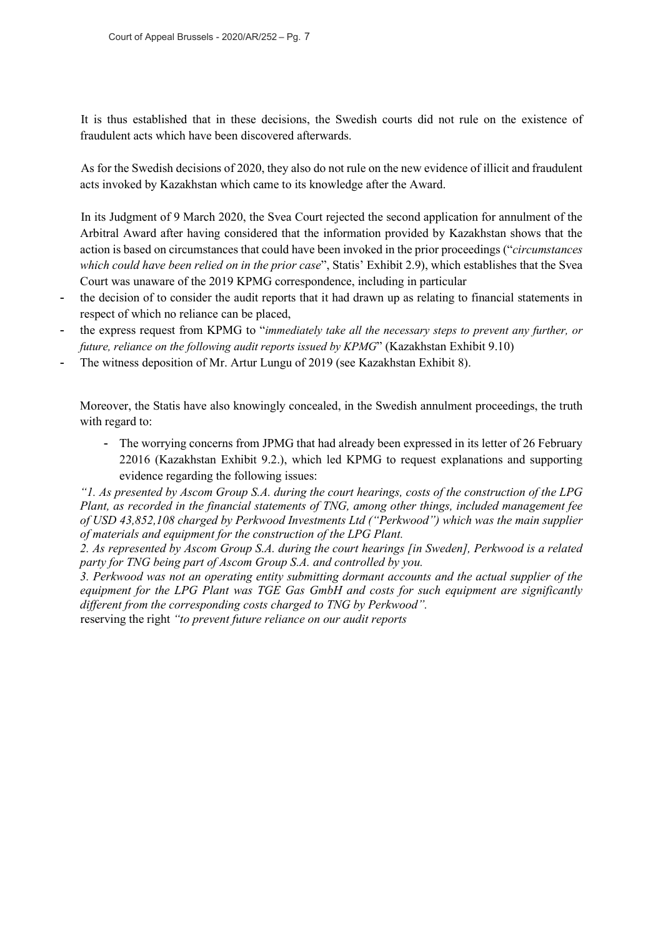It is thus established that in these decisions, the Swedish courts did not rule on the existence of fraudulent acts which have been discovered afterwards.

As for the Swedish decisions of 2020, they also do not rule on the new evidence of illicit and fraudulent acts invoked by Kazakhstan which came to its knowledge after the Award.

In its Judgment of 9 March 2020, the Svea Court rejected the second application for annulment of the Arbitral Award after having considered that the information provided by Kazakhstan shows that the action is based on circumstances that could have been invoked in the prior proceedings ("*circumstances which could have been relied on in the prior case*", Statis' Exhibit 2.9), which establishes that the Svea Court was unaware of the 2019 KPMG correspondence, including in particular

- the decision of to consider the audit reports that it had drawn up as relating to financial statements in respect of which no reliance can be placed,
- the express request from KPMG to "immediately take all the necessary steps to prevent any further, or *future, reliance on the following audit reports issued by KPMG*" (Kazakhstan Exhibit 9.10)
- The witness deposition of Mr. Artur Lungu of 2019 (see Kazakhstan Exhibit 8).

Moreover, the Statis have also knowingly concealed, in the Swedish annulment proceedings, the truth with regard to:

- The worrying concerns from JPMG that had already been expressed in its letter of 26 February 22016 (Kazakhstan Exhibit 9.2.), which led KPMG to request explanations and supporting evidence regarding the following issues:

*"1. As presented by Ascom Group S.A. during the court hearings, costs of the construction of the LPG Plant, as recorded in the financial statements of TNG, among other things, included management fee of USD 43,852,108 charged by Perkwood Investments Ltd ("Perkwood") which was the main supplier of materials and equipment for the construction of the LPG Plant.*

*2. As represented by Ascom Group S.A. during the court hearings [in Sweden], Perkwood is a related party for TNG being part of Ascom Group S.A. and controlled by you.*

*3. Perkwood was not an operating entity submitting dormant accounts and the actual supplier of the equipment for the LPG Plant was TGE Gas GmbH and costs for such equipment are significantly different from the corresponding costs charged to TNG by Perkwood".* reserving the right *"to prevent future reliance on our audit reports*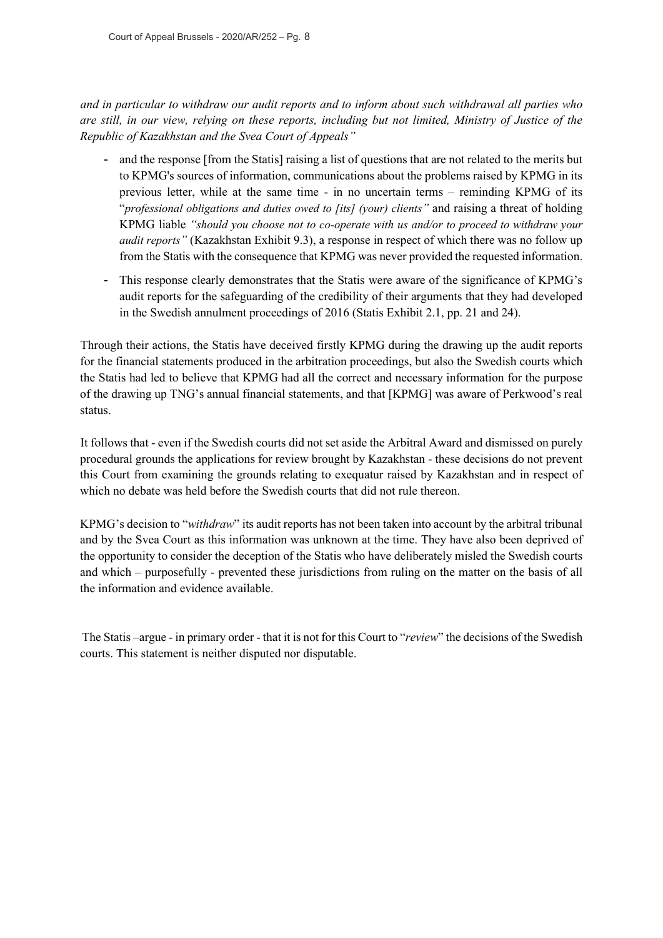*and in particular to withdraw our audit reports and to inform about such withdrawal all parties who are still, in our view, relying on these reports, including but not limited, Ministry of Justice of the Republic of Kazakhstan and the Svea Court of Appeals"*

- and the response [from the Statis] raising a list of questions that are not related to the merits but to KPMG's sources of information, communications about the problems raised by KPMG in its previous letter, while at the same time - in no uncertain terms – reminding KPMG of its "*professional obligations and duties owed to [its] (your) clients"* and raising a threat of holding KPMG liable *"should you choose not to co-operate with us and/or to proceed to withdraw your audit reports"* (Kazakhstan Exhibit 9.3), a response in respect of which there was no follow up from the Statis with the consequence that KPMG was never provided the requested information.
- This response clearly demonstrates that the Statis were aware of the significance of KPMG's audit reports for the safeguarding of the credibility of their arguments that they had developed in the Swedish annulment proceedings of 2016 (Statis Exhibit 2.1, pp. 21 and 24).

Through their actions, the Statis have deceived firstly KPMG during the drawing up the audit reports for the financial statements produced in the arbitration proceedings, but also the Swedish courts which the Statis had led to believe that KPMG had all the correct and necessary information for the purpose of the drawing up TNG's annual financial statements, and that [KPMG] was aware of Perkwood's real status.

It follows that - even if the Swedish courts did not set aside the Arbitral Award and dismissed on purely procedural grounds the applications for review brought by Kazakhstan - these decisions do not prevent this Court from examining the grounds relating to exequatur raised by Kazakhstan and in respect of which no debate was held before the Swedish courts that did not rule thereon.

KPMG's decision to "*withdraw*" its audit reports has not been taken into account by the arbitral tribunal and by the Svea Court as this information was unknown at the time. They have also been deprived of the opportunity to consider the deception of the Statis who have deliberately misled the Swedish courts and which – purposefully - prevented these jurisdictions from ruling on the matter on the basis of all the information and evidence available.

The Statis –argue - in primary order - that it is not for this Court to "*review*" the decisions of the Swedish courts. This statement is neither disputed nor disputable.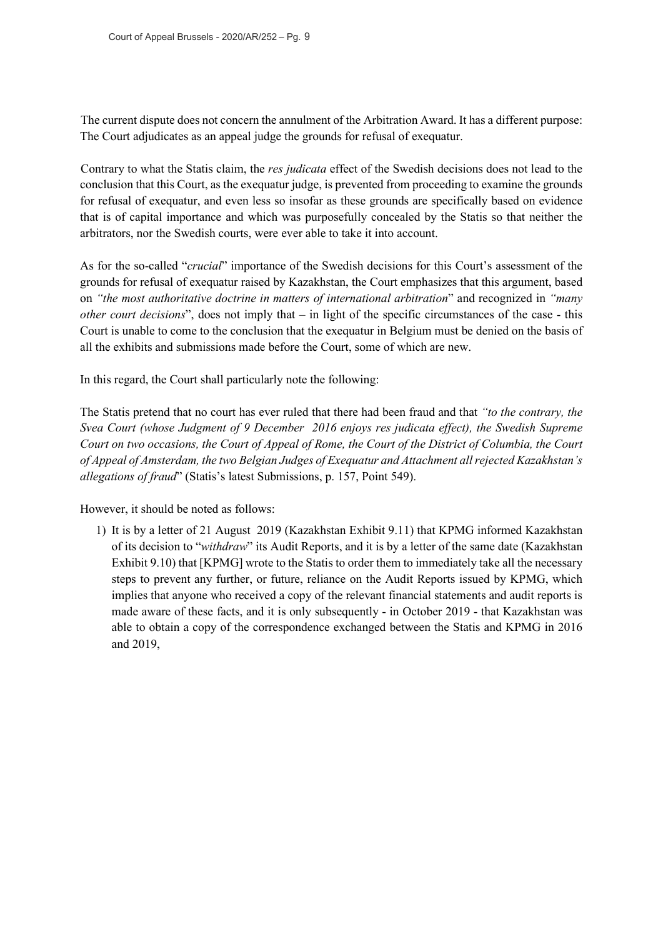The current dispute does not concern the annulment of the Arbitration Award. It has a different purpose: The Court adjudicates as an appeal judge the grounds for refusal of exequatur.

Contrary to what the Statis claim, the *res judicata* effect of the Swedish decisions does not lead to the conclusion that this Court, as the exequatur judge, is prevented from proceeding to examine the grounds for refusal of exequatur, and even less so insofar as these grounds are specifically based on evidence that is of capital importance and which was purposefully concealed by the Statis so that neither the arbitrators, nor the Swedish courts, were ever able to take it into account.

As for the so-called "*crucial*" importance of the Swedish decisions for this Court's assessment of the grounds for refusal of exequatur raised by Kazakhstan, the Court emphasizes that this argument, based on *"the most authoritative doctrine in matters of international arbitration*" and recognized in *"many other court decisions*", does not imply that – in light of the specific circumstances of the case - this Court is unable to come to the conclusion that the exequatur in Belgium must be denied on the basis of all the exhibits and submissions made before the Court, some of which are new.

In this regard, the Court shall particularly note the following:

The Statis pretend that no court has ever ruled that there had been fraud and that *"to the contrary, the Svea Court (whose Judgment of 9 December 2016 enjoys res judicata effect), the Swedish Supreme Court on two occasions, the Court of Appeal of Rome, the Court of the District of Columbia, the Court of Appeal of Amsterdam, the two Belgian Judges of Exequatur and Attachment all rejected Kazakhstan's allegations of fraud*" (Statis's latest Submissions, p. 157, Point 549).

However, it should be noted as follows:

1) It is by a letter of 21 August 2019 (Kazakhstan Exhibit 9.11) that KPMG informed Kazakhstan of its decision to "*withdraw*" its Audit Reports, and it is by a letter of the same date (Kazakhstan Exhibit 9.10) that [KPMG] wrote to the Statis to order them to immediately take all the necessary steps to prevent any further, or future, reliance on the Audit Reports issued by KPMG, which implies that anyone who received a copy of the relevant financial statements and audit reports is made aware of these facts, and it is only subsequently - in October 2019 - that Kazakhstan was able to obtain a copy of the correspondence exchanged between the Statis and KPMG in 2016 and 2019,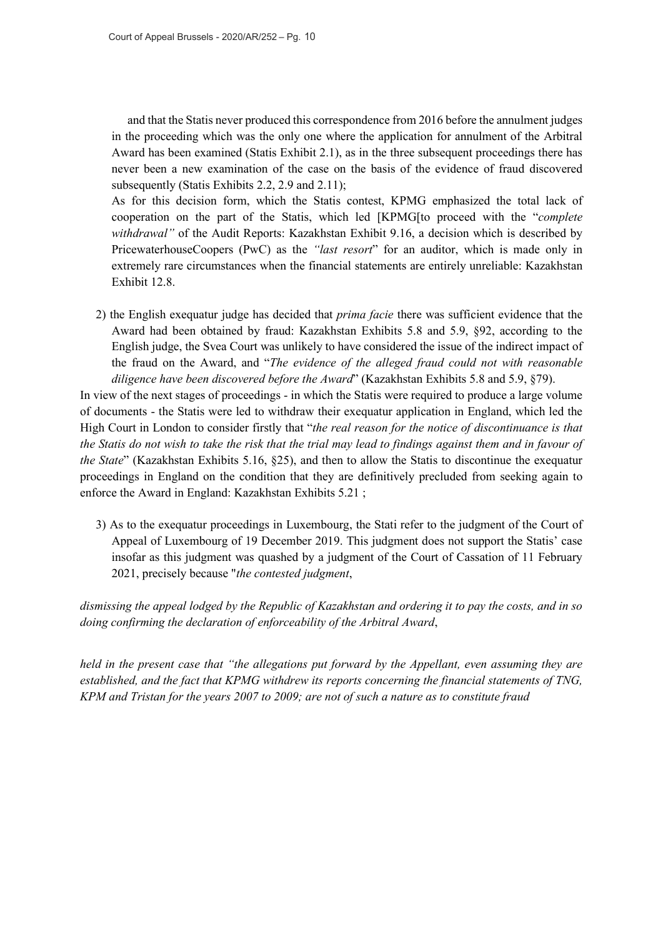and that the Statis never produced this correspondence from 2016 before the annulment judges in the proceeding which was the only one where the application for annulment of the Arbitral Award has been examined (Statis Exhibit 2.1), as in the three subsequent proceedings there has never been a new examination of the case on the basis of the evidence of fraud discovered subsequently (Statis Exhibits 2.2, 2.9 and 2.11);

As for this decision form, which the Statis contest, KPMG emphasized the total lack of cooperation on the part of the Statis, which led [KPMG[to proceed with the "*complete withdrawal*" of the Audit Reports: Kazakhstan Exhibit 9.16, a decision which is described by PricewaterhouseCoopers (PwC) as the *"last resort*" for an auditor, which is made only in extremely rare circumstances when the financial statements are entirely unreliable: Kazakhstan Exhibit 12.8.

2) the English exequatur judge has decided that *prima facie* there was sufficient evidence that the Award had been obtained by fraud: Kazakhstan Exhibits 5.8 and 5.9, §92, according to the English judge, the Svea Court was unlikely to have considered the issue of the indirect impact of the fraud on the Award, and "*The evidence of the alleged fraud could not with reasonable diligence have been discovered before the Award*" (Kazakhstan Exhibits 5.8 and 5.9, §79).

In view of the next stages of proceedings - in which the Statis were required to produce a large volume of documents - the Statis were led to withdraw their exequatur application in England, which led the High Court in London to consider firstly that "*the real reason for the notice of discontinuance is that the Statis do not wish to take the risk that the trial may lead to findings against them and in favour of the State*" (Kazakhstan Exhibits 5.16, §25), and then to allow the Statis to discontinue the exequatur proceedings in England on the condition that they are definitively precluded from seeking again to enforce the Award in England: Kazakhstan Exhibits 5.21 ;

3) As to the exequatur proceedings in Luxembourg, the Stati refer to the judgment of the Court of Appeal of Luxembourg of 19 December 2019. This judgment does not support the Statis' case insofar as this judgment was quashed by a judgment of the Court of Cassation of 11 February 2021, precisely because "*the contested judgment*,

*dismissing the appeal lodged by the Republic of Kazakhstan and ordering it to pay the costs, and in so doing confirming the declaration of enforceability of the Arbitral Award*,

*held in the present case that "the allegations put forward by the Appellant, even assuming they are established, and the fact that KPMG withdrew its reports concerning the financial statements of TNG, KPM and Tristan for the years 2007 to 2009; are not of such a nature as to constitute fraud*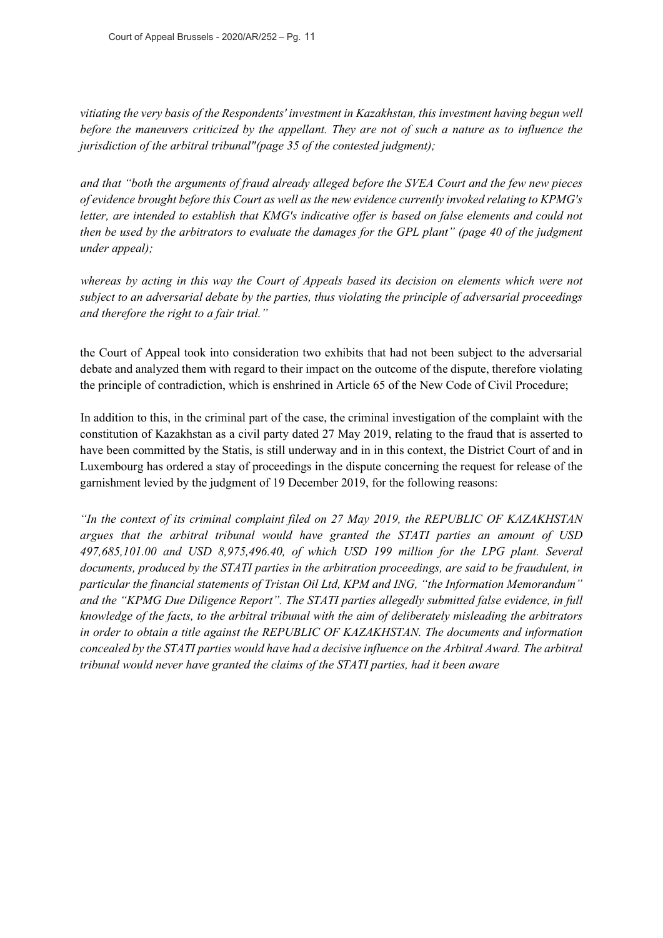*vitiating the very basis of the Respondents' investment in Kazakhstan, this investment having begun well before the maneuvers criticized by the appellant. They are not of such a nature as to influence the jurisdiction of the arbitral tribunal"(page 35 of the contested judgment);*

*and that "both the arguments of fraud already alleged before the SVEA Court and the few new pieces of evidence brought before this Court as well as the new evidence currently invoked relating to KPMG's letter, are intended to establish that KMG's indicative offer is based on false elements and could not then be used by the arbitrators to evaluate the damages for the GPL plant" (page 40 of the judgment under appeal);*

*whereas by acting in this way the Court of Appeals based its decision on elements which were not subject to an adversarial debate by the parties, thus violating the principle of adversarial proceedings and therefore the right to a fair trial."*

the Court of Appeal took into consideration two exhibits that had not been subject to the adversarial debate and analyzed them with regard to their impact on the outcome of the dispute, therefore violating the principle of contradiction, which is enshrined in Article 65 of the New Code of Civil Procedure;

In addition to this, in the criminal part of the case, the criminal investigation of the complaint with the constitution of Kazakhstan as a civil party dated 27 May 2019, relating to the fraud that is asserted to have been committed by the Statis, is still underway and in in this context, the District Court of and in Luxembourg has ordered a stay of proceedings in the dispute concerning the request for release of the garnishment levied by the judgment of 19 December 2019, for the following reasons:

*"In the context of its criminal complaint filed on 27 May 2019, the REPUBLIC OF KAZAKHSTAN argues that the arbitral tribunal would have granted the STATI parties an amount of USD 497,685,101.00 and USD 8,975,496.40, of which USD 199 million for the LPG plant. Several documents, produced by the STATI parties in the arbitration proceedings, are said to be fraudulent, in particular the financial statements of Tristan Oil Ltd, KPM and ING, "the Information Memorandum" and the "KPMG Due Diligence Report". The STATI parties allegedly submitted false evidence, in full knowledge of the facts, to the arbitral tribunal with the aim of deliberately misleading the arbitrators in order to obtain a title against the REPUBLIC OF KAZAKHSTAN. The documents and information concealed by the STATI parties would have had a decisive influence on the Arbitral Award. The arbitral tribunal would never have granted the claims of the STATI parties, had it been aware*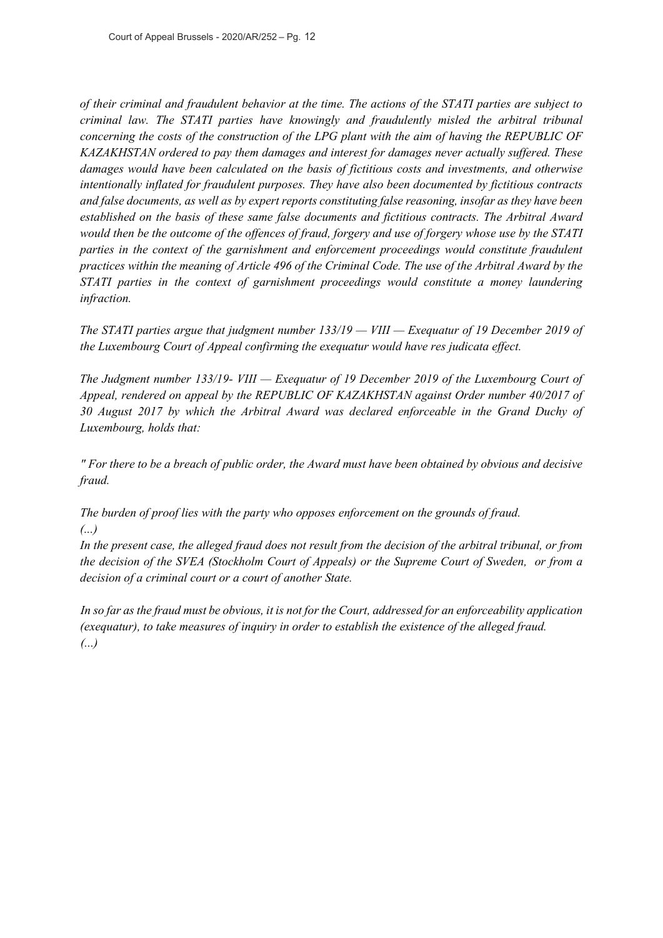*of their criminal and fraudulent behavior at the time. The actions of the STATI parties are subject to criminal law. The STATI parties have knowingly and fraudulently misled the arbitral tribunal concerning the costs of the construction of the LPG plant with the aim of having the REPUBLIC OF KAZAKHSTAN ordered to pay them damages and interest for damages never actually suffered. These damages would have been calculated on the basis of fictitious costs and investments, and otherwise intentionally inflated for fraudulent purposes. They have also been documented by fictitious contracts and false documents, as well as by expert reports constituting false reasoning, insofar as they have been established on the basis of these same false documents and fictitious contracts. The Arbitral Award would then be the outcome of the offences of fraud, forgery and use of forgery whose use by the STATI parties in the context of the garnishment and enforcement proceedings would constitute fraudulent practices within the meaning of Article 496 of the Criminal Code. The use of the Arbitral Award by the STATI parties in the context of garnishment proceedings would constitute a money laundering infraction.*

*The STATI parties argue that judgment number 133/19 — VIII — Exequatur of 19 December 2019 of the Luxembourg Court of Appeal confirming the exequatur would have res judicata effect.*

*The Judgment number 133/19- VIII — Exequatur of 19 December 2019 of the Luxembourg Court of Appeal, rendered on appeal by the REPUBLIC OF KAZAKHSTAN against Order number 40/2017 of 30 August 2017 by which the Arbitral Award was declared enforceable in the Grand Duchy of Luxembourg, holds that:*

*" For there to be a breach of public order, the Award must have been obtained by obvious and decisive fraud.*

*The burden of proof lies with the party who opposes enforcement on the grounds of fraud. (...)*

*In the present case, the alleged fraud does not result from the decision of the arbitral tribunal, or from the decision of the SVEA (Stockholm Court of Appeals) or the Supreme Court of Sweden, or from a decision of a criminal court or a court of another State.*

*In so far as the fraud must be obvious, it is not for the Court, addressed for an enforceability application (exequatur), to take measures of inquiry in order to establish the existence of the alleged fraud. (...)*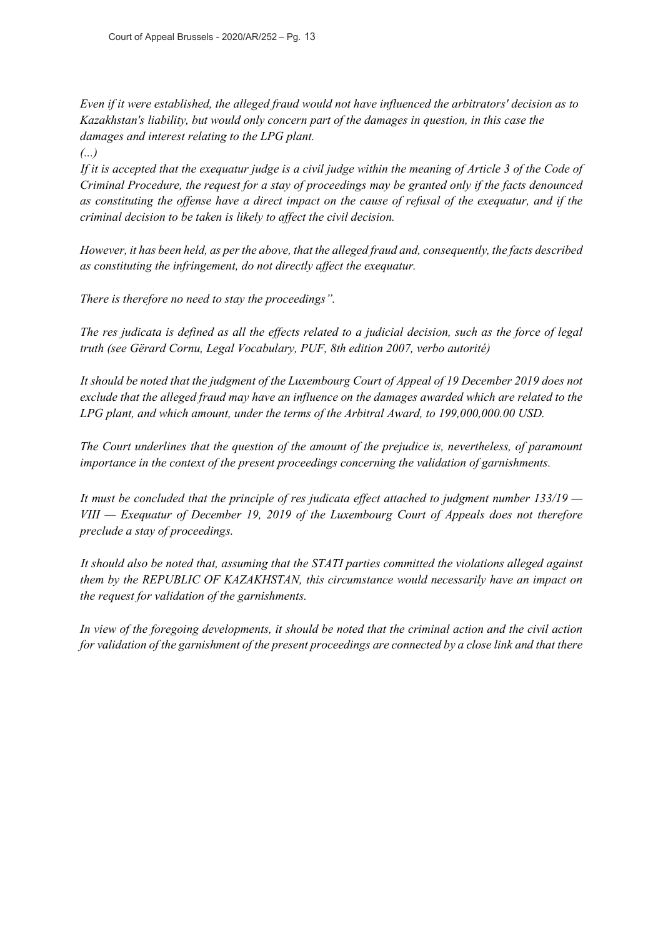*Even if it were established, the alleged fraud would not have influenced the arbitrators' decision as to Kazakhstan's liability, but would only concern part of the damages in question, in this case the damages and interest relating to the LPG plant.*

*(...)*

*If it is accepted that the exequatur judge is a civil judge within the meaning of Article 3 of the Code of Criminal Procedure, the request for a stay of proceedings may be granted only if the facts denounced as constituting the offense have a direct impact on the cause of refusal of the exequatur, and if the criminal decision to be taken is likely to affect the civil decision.*

*However, it has been held, as per the above, that the alleged fraud and, consequently, the facts described as constituting the infringement, do not directly affect the exequatur.*

*There is therefore no need to stay the proceedings".*

*The res judicata is defined as all the effects related to a judicial decision, such as the force of legal truth (see Gërard Cornu, Legal Vocabulary, PUF, 8th edition 2007, verbo autorité)*

*It should be noted that the judgment of the Luxembourg Court of Appeal of 19 December 2019 does not exclude that the alleged fraud may have an influence on the damages awarded which are related to the LPG plant, and which amount, under the terms of the Arbitral Award, to 199,000,000.00 USD.*

*The Court underlines that the question of the amount of the prejudice is, nevertheless, of paramount importance in the context of the present proceedings concerning the validation of garnishments.*

*It must be concluded that the principle of res judicata effect attached to judgment number 133/19 — VIII — Exequatur of December 19, 2019 of the Luxembourg Court of Appeals does not therefore preclude a stay of proceedings.*

*It should also be noted that, assuming that the STATI parties committed the violations alleged against them by the REPUBLIC OF KAZAKHSTAN, this circumstance would necessarily have an impact on the request for validation of the garnishments.*

*In view of the foregoing developments, it should be noted that the criminal action and the civil action for validation of the garnishment of the present proceedings are connected by a close link and that there*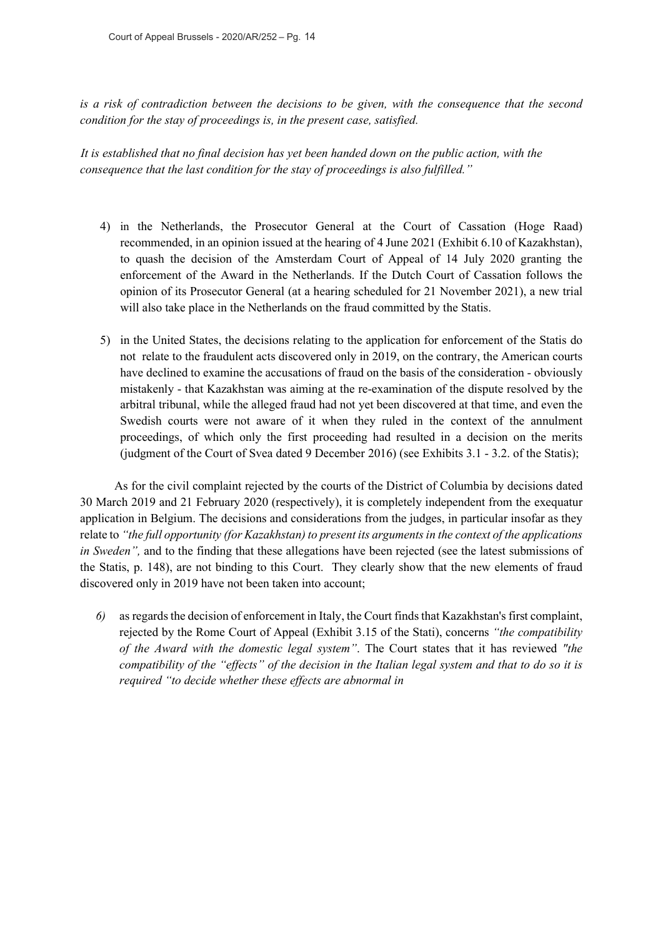Court of Appeal Brussels - 2020/AR/252 – Pg. 14

*is a risk of contradiction between the decisions to be given, with the consequence that the second condition for the stay of proceedings is, in the present case, satisfied.*

*It is established that no final decision has yet been handed down on the public action, with the consequence that the last condition for the stay of proceedings is also fulfilled."*

- 4) in the Netherlands, the Prosecutor General at the Court of Cassation (Hoge Raad) recommended, in an opinion issued at the hearing of 4 June 2021 (Exhibit 6.10 of Kazakhstan), to quash the decision of the Amsterdam Court of Appeal of 14 July 2020 granting the enforcement of the Award in the Netherlands. If the Dutch Court of Cassation follows the opinion of its Prosecutor General (at a hearing scheduled for 21 November 2021), a new trial will also take place in the Netherlands on the fraud committed by the Statis.
- 5) in the United States, the decisions relating to the application for enforcement of the Statis do not relate to the fraudulent acts discovered only in 2019, on the contrary, the American courts have declined to examine the accusations of fraud on the basis of the consideration - obviously mistakenly - that Kazakhstan was aiming at the re-examination of the dispute resolved by the arbitral tribunal, while the alleged fraud had not yet been discovered at that time, and even the Swedish courts were not aware of it when they ruled in the context of the annulment proceedings, of which only the first proceeding had resulted in a decision on the merits (judgment of the Court of Svea dated 9 December 2016) (see Exhibits 3.1 - 3.2. of the Statis);

As for the civil complaint rejected by the courts of the District of Columbia by decisions dated 30 March 2019 and 21 February 2020 (respectively), it is completely independent from the exequatur application in Belgium. The decisions and considerations from the judges, in particular insofar as they relate to *"the full opportunity (for Kazakhstan) to present its arguments in the context of the applications in Sweden"*, and to the finding that these allegations have been rejected (see the latest submissions of the Statis, p. 148), are not binding to this Court. They clearly show that the new elements of fraud discovered only in 2019 have not been taken into account;

*6)* as regards the decision of enforcement in Italy, the Court finds that Kazakhstan's first complaint, rejected by the Rome Court of Appeal (Exhibit 3.15 of the Stati), concerns *"the compatibility of the Award with the domestic legal system"*. The Court states that it has reviewed *"the compatibility of the "effects" of the decision in the Italian legal system and that to do so it is required "to decide whether these effects are abnormal in*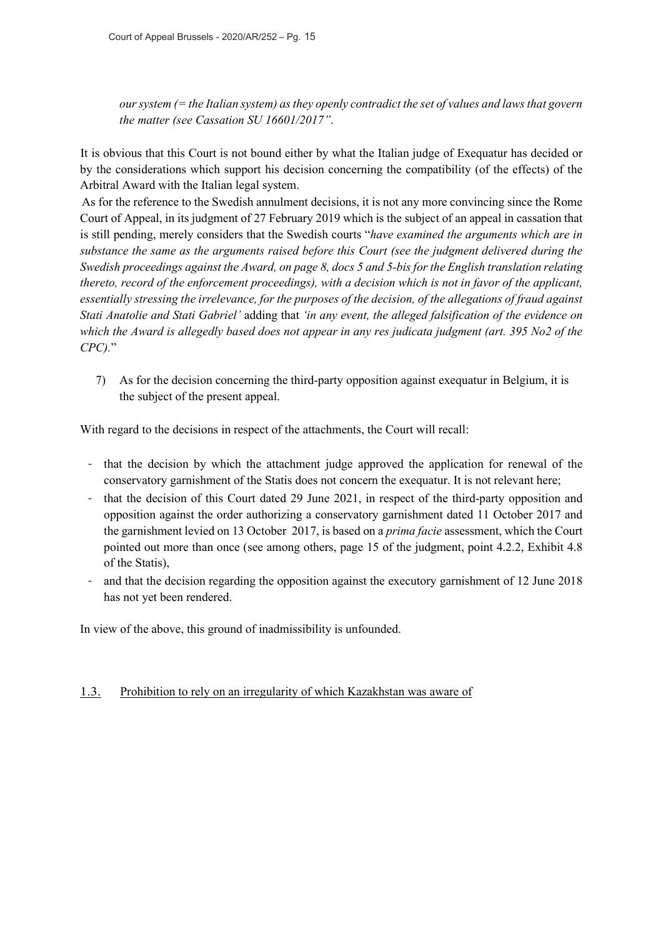*our system (= the Italian system) as they openly contradict the set of values and laws that govern the matter (see Cassation SU 16601/2017"*.

It is obvious that this Court is not bound either by what the Italian judge of Exequatur has decided or by the considerations which support his decision concerning the compatibility (of the effects) of the Arbitral Award with the Italian legal system.

As for the reference to the Swedish annulment decisions, it is not any more convincing since the Rome Court of Appeal, in its judgment of 27 February 2019 which is the subject of an appeal in cassation that is still pending, merely considers that the Swedish courts "*have examined the arguments which are in substance the same as the arguments raised before this Court (see the judgment delivered during the Swedish proceedings against the Award, on page 8, docs 5 and 5-bis for the English translation relating thereto, record of the enforcement proceedings), with a decision which is not in favor of the applicant, essentially stressing the irrelevance, for the purposes of the decision, of the allegations of fraud against Stati Anatolie and Stati Gabriel'* adding that *'in any event, the alleged falsification of the evidence on which the Award is allegedly based does not appear in any res judicata judgment (art. 395 No2 of the CPC).*"

7) As for the decision concerning the third-party opposition against exequatur in Belgium, it is the subject of the present appeal.

With regard to the decisions in respect of the attachments, the Court will recall:

- that the decision by which the attachment judge approved the application for renewal of the conservatory garnishment of the Statis does not concern the exequatur. It is not relevant here;
- that the decision of this Court dated 29 June 2021, in respect of the third-party opposition and opposition against the order authorizing a conservatory garnishment dated 11 October 2017 and the garnishment levied on 13 October 2017, is based on a *prima facie* assessment, which the Court pointed out more than once (see among others, page 15 of the judgment, point 4.2.2, Exhibit 4.8 of the Statis),
- and that the decision regarding the opposition against the executory garnishment of 12 June 2018 has not yet been rendered.

In view of the above, this ground of inadmissibility is unfounded.

## 1.3. Prohibition to rely on an irregularity of which Kazakhstan was aware of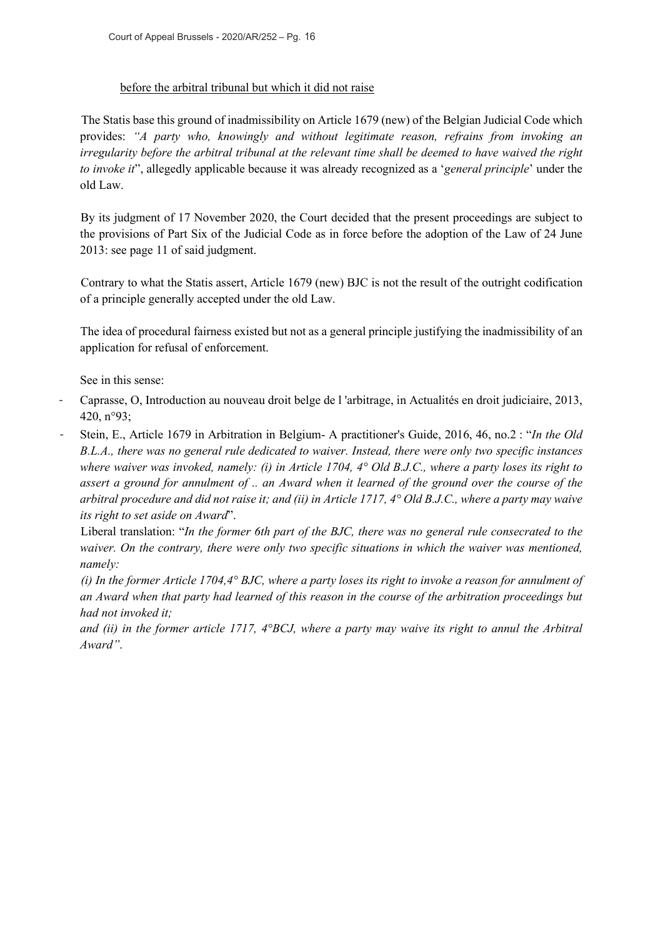#### before the arbitral tribunal but which it did not raise

The Statis base this ground of inadmissibility on Article 1679 (new) of the Belgian Judicial Code which provides: *"A party who, knowingly and without legitimate reason, refrains from invoking an irregularity before the arbitral tribunal at the relevant time shall be deemed to have waived the right to invoke it*", allegedly applicable because it was already recognized as a '*general principle*' under the old Law.

By its judgment of 17 November 2020, the Court decided that the present proceedings are subject to the provisions of Part Six of the Judicial Code as in force before the adoption of the Law of 24 June 2013: see page 11 of said judgment.

Contrary to what the Statis assert, Article 1679 (new) BJC is not the result of the outright codification of a principle generally accepted under the old Law.

The idea of procedural fairness existed but not as a general principle justifying the inadmissibility of an application for refusal of enforcement.

See in this sense:

- Caprasse, O, Introduction au nouveau droit belge de l 'arbitrage, in Actualités en droit judiciaire, 2013, 420, n°93;
- Stein, E., Article 1679 in Arbitration in Belgium- A practitioner's Guide, 2016, 46, no.2 : "*In the Old B.L.A., there was no general rule dedicated to waiver. Instead, there were only two specific instances where waiver was invoked, namely: (i) in Article 1704, 4° Old B.J.C., where a party loses its right to assert a ground for annulment of .. an Award when it learned of the ground over the course of the arbitral procedure and did not raise it; and (ii) in Article 1717, 4° Old B.J.C., where a party may waive its right to set aside on Award*".

Liberal translation: "*In the former 6th part of the BJC, there was no general rule consecrated to the waiver. On the contrary, there were only two specific situations in which the waiver was mentioned, namely:* 

*(i) In the former Article 1704,4° BJC, where a party loses its right to invoke a reason for annulment of an Award when that party had learned of this reason in the course of the arbitration proceedings but had not invoked it;*

*and (ii) in the former article 1717, 4°BCJ, where a party may waive its right to annul the Arbitral Award"*.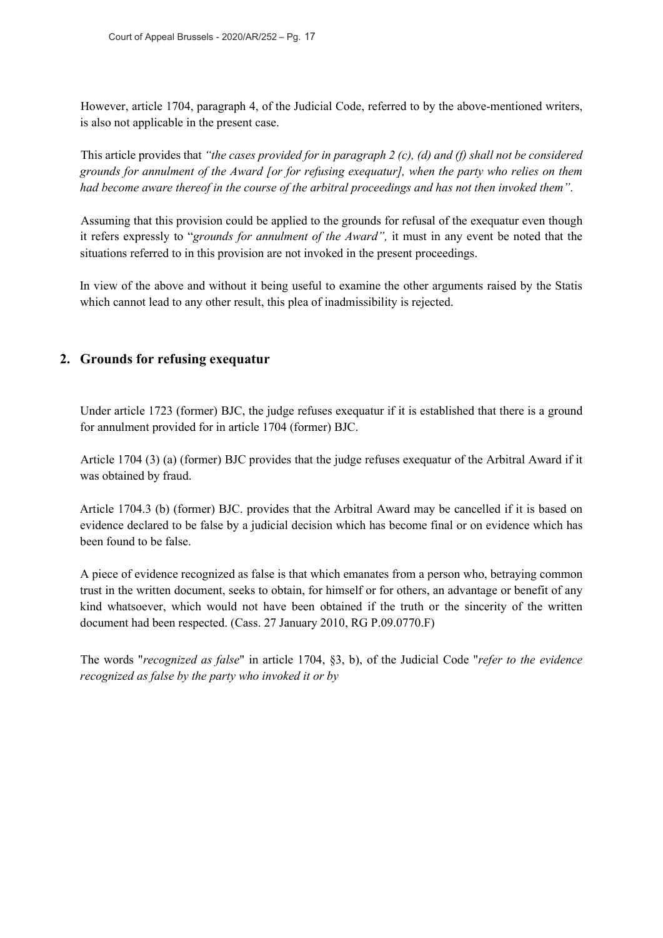However, article 1704, paragraph 4, of the Judicial Code, referred to by the above-mentioned writers, is also not applicable in the present case.

This article provides that *"the cases provided for in paragraph 2 (c), (d) and (f) shall not be considered grounds for annulment of the Award [or for refusing exequatur], when the party who relies on them had become aware thereof in the course of the arbitral proceedings and has not then invoked them"*.

Assuming that this provision could be applied to the grounds for refusal of the exequatur even though it refers expressly to "*grounds for annulment of the Award",* it must in any event be noted that the situations referred to in this provision are not invoked in the present proceedings.

In view of the above and without it being useful to examine the other arguments raised by the Statis which cannot lead to any other result, this plea of inadmissibility is rejected.

## **2. Grounds for refusing exequatur**

Under article 1723 (former) BJC, the judge refuses exequatur if it is established that there is a ground for annulment provided for in article 1704 (former) BJC.

Article 1704 (3) (a) (former) BJC provides that the judge refuses exequatur of the Arbitral Award if it was obtained by fraud.

Article 1704.3 (b) (former) BJC. provides that the Arbitral Award may be cancelled if it is based on evidence declared to be false by a judicial decision which has become final or on evidence which has been found to be false.

A piece of evidence recognized as false is that which emanates from a person who, betraying common trust in the written document, seeks to obtain, for himself or for others, an advantage or benefit of any kind whatsoever, which would not have been obtained if the truth or the sincerity of the written document had been respected. (Cass. 27 January 2010, RG P.09.0770.F)

The words "*recognized as false*" in article 1704, §3, b), of the Judicial Code "*refer to the evidence recognized as false by the party who invoked it or by*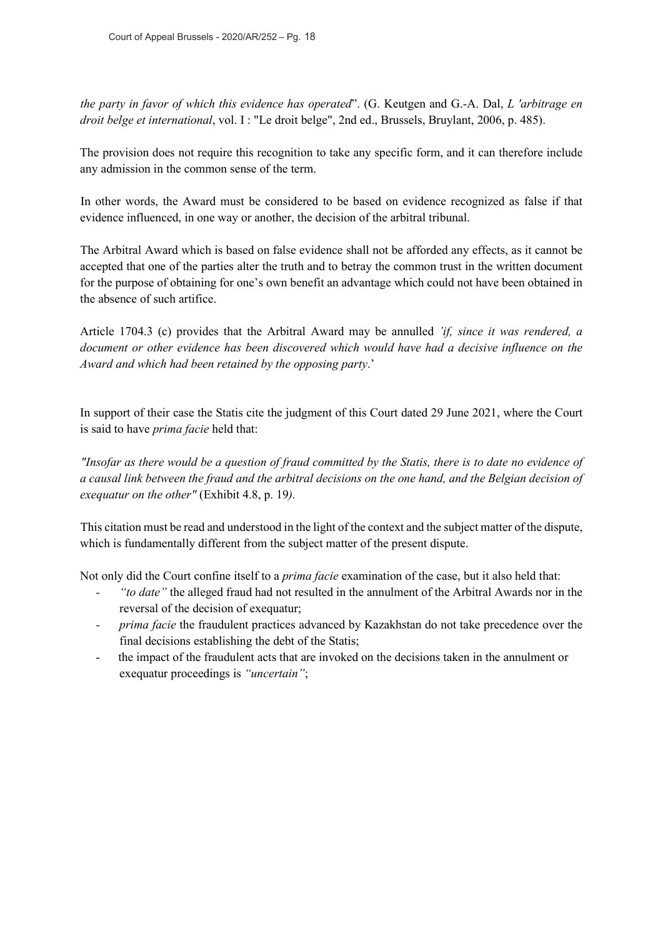*the party in favor of which this evidence has operated*". (G. Keutgen and G.-A. Dal, *L 'arbitrage en droit belge et international*, vol. I : "Le droit belge", 2nd ed., Brussels, Bruylant, 2006, p. 485).

The provision does not require this recognition to take any specific form, and it can therefore include any admission in the common sense of the term.

In other words, the Award must be considered to be based on evidence recognized as false if that evidence influenced, in one way or another, the decision of the arbitral tribunal.

The Arbitral Award which is based on false evidence shall not be afforded any effects, as it cannot be accepted that one of the parties alter the truth and to betray the common trust in the written document for the purpose of obtaining for one's own benefit an advantage which could not have been obtained in the absence of such artifice.

Article 1704.3 (c) provides that the Arbitral Award may be annulled *'if, since it was rendered, a document or other evidence has been discovered which would have had a decisive influence on the Award and which had been retained by the opposing party*.'

In support of their case the Statis cite the judgment of this Court dated 29 June 2021, where the Court is said to have *prima facie* held that:

*"Insofar as there would be a question of fraud committed by the Statis, there is to date no evidence of a causal link between the fraud and the arbitral decisions on the one hand, and the Belgian decision of exequatur on the other"* (Exhibit 4.8, p. 19*).*

This citation must be read and understood in the light of the context and the subject matter of the dispute, which is fundamentally different from the subject matter of the present dispute.

Not only did the Court confine itself to a *prima facie* examination of the case, but it also held that:

- *- "to date"* the alleged fraud had not resulted in the annulment of the Arbitral Awards nor in the reversal of the decision of exequatur;
- *- prima facie* the fraudulent practices advanced by Kazakhstan do not take precedence over the final decisions establishing the debt of the Statis;
- the impact of the fraudulent acts that are invoked on the decisions taken in the annulment or exequatur proceedings is *"uncertain"*;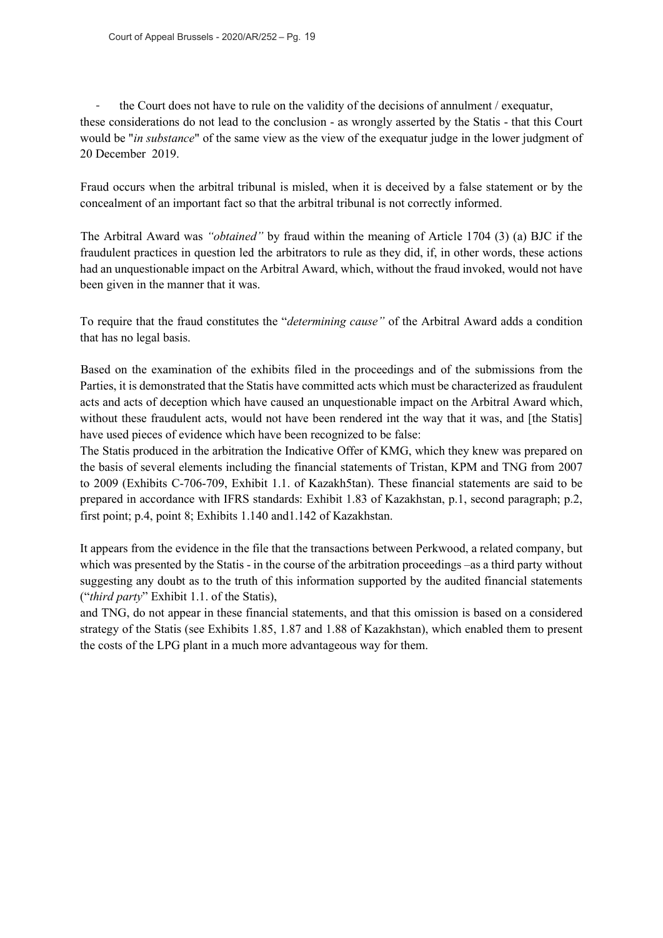the Court does not have to rule on the validity of the decisions of annulment / exequatur, these considerations do not lead to the conclusion - as wrongly asserted by the Statis - that this Court would be "*in substance*" of the same view as the view of the exequatur judge in the lower judgment of 20 December 2019.

Fraud occurs when the arbitral tribunal is misled, when it is deceived by a false statement or by the concealment of an important fact so that the arbitral tribunal is not correctly informed.

The Arbitral Award was *"obtained"* by fraud within the meaning of Article 1704 (3) (a) BJC if the fraudulent practices in question led the arbitrators to rule as they did, if, in other words, these actions had an unquestionable impact on the Arbitral Award, which, without the fraud invoked, would not have been given in the manner that it was.

To require that the fraud constitutes the "*determining cause"* of the Arbitral Award adds a condition that has no legal basis.

Based on the examination of the exhibits filed in the proceedings and of the submissions from the Parties, it is demonstrated that the Statis have committed acts which must be characterized as fraudulent acts and acts of deception which have caused an unquestionable impact on the Arbitral Award which, without these fraudulent acts, would not have been rendered int the way that it was, and [the Statis] have used pieces of evidence which have been recognized to be false:

The Statis produced in the arbitration the Indicative Offer of KMG, which they knew was prepared on the basis of several elements including the financial statements of Tristan, KPM and TNG from 2007 to 2009 (Exhibits C-706-709, Exhibit 1.1. of Kazakh5tan). These financial statements are said to be prepared in accordance with IFRS standards: Exhibit 1.83 of Kazakhstan, p.1, second paragraph; p.2, first point; p.4, point 8; Exhibits 1.140 and1.142 of Kazakhstan.

It appears from the evidence in the file that the transactions between Perkwood, a related company, but which was presented by the Statis - in the course of the arbitration proceedings –as a third party without suggesting any doubt as to the truth of this information supported by the audited financial statements ("*third party*" Exhibit 1.1. of the Statis),

and TNG, do not appear in these financial statements, and that this omission is based on a considered strategy of the Statis (see Exhibits 1.85, 1.87 and 1.88 of Kazakhstan), which enabled them to present the costs of the LPG plant in a much more advantageous way for them.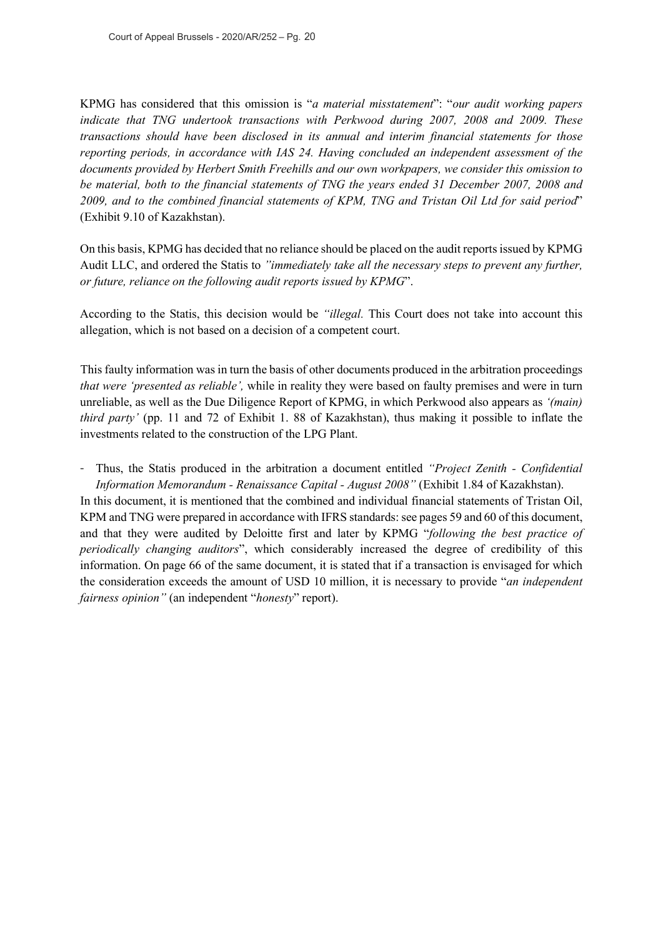KPMG has considered that this omission is "*a material misstatement*": "*our audit working papers indicate that TNG undertook transactions with Perkwood during 2007, 2008 and 2009. These transactions should have been disclosed in its annual and interim financial statements for those reporting periods, in accordance with IAS 24. Having concluded an independent assessment of the documents provided by Herbert Smith Freehills and our own workpapers, we consider this omission to be material, both to the financial statements of TNG the years ended 31 December 2007, 2008 and 2009, and to the combined financial statements of KPM, TNG and Tristan Oil Ltd for said period*" (Exhibit 9.10 of Kazakhstan).

On this basis, KPMG has decided that no reliance should be placed on the audit reports issued by KPMG Audit LLC, and ordered the Statis to *"immediately take all the necessary steps to prevent any further, or future, reliance on the following audit reports issued by KPMG*".

According to the Statis, this decision would be *"illegal.* This Court does not take into account this allegation, which is not based on a decision of a competent court.

This faulty information was in turn the basis of other documents produced in the arbitration proceedings *that were 'presented as reliable',* while in reality they were based on faulty premises and were in turn unreliable, as well as the Due Diligence Report of KPMG, in which Perkwood also appears as *'(main) third party'* (pp. 11 and 72 of Exhibit 1. 88 of Kazakhstan), thus making it possible to inflate the investments related to the construction of the LPG Plant.

- Thus, the Statis produced in the arbitration a document entitled *"Project Zenith - Confidential Information Memorandum - Renaissance Capital - August 2008"* (Exhibit 1.84 of Kazakhstan). In this document, it is mentioned that the combined and individual financial statements of Tristan Oil, KPM and TNG were prepared in accordance with IFRS standards: see pages 59 and 60 of this document, and that they were audited by Deloitte first and later by KPMG "*following the best practice of periodically changing auditors*", which considerably increased the degree of credibility of this information. On page 66 of the same document, it is stated that if a transaction is envisaged for which the consideration exceeds the amount of USD 10 million, it is necessary to provide "*an independent fairness opinion"* (an independent "*honesty*" report).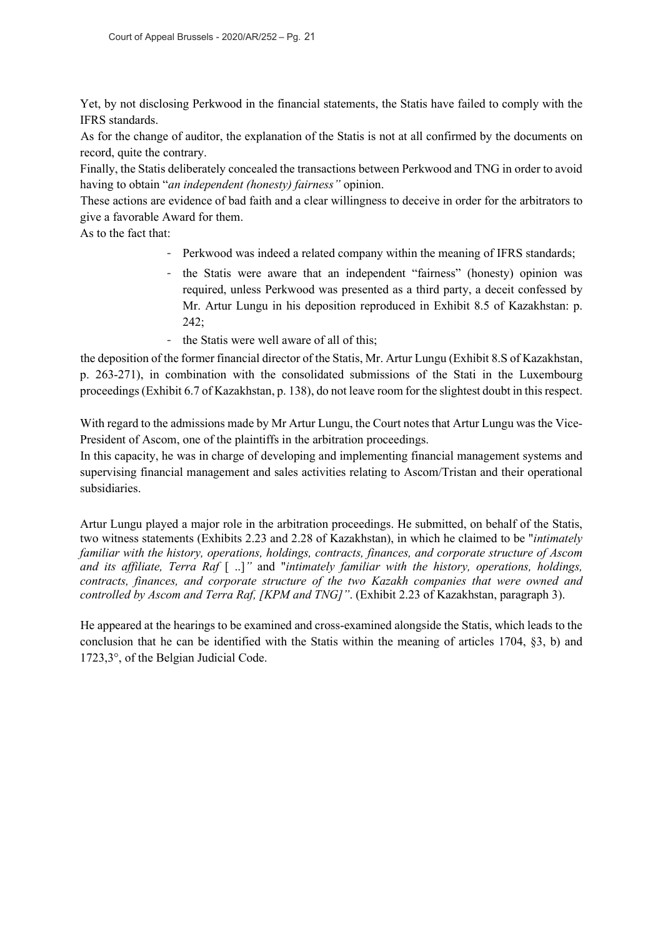Yet, by not disclosing Perkwood in the financial statements, the Statis have failed to comply with the IFRS standards.

As for the change of auditor, the explanation of the Statis is not at all confirmed by the documents on record, quite the contrary.

Finally, the Statis deliberately concealed the transactions between Perkwood and TNG in order to avoid having to obtain "*an independent (honesty) fairness"* opinion.

These actions are evidence of bad faith and a clear willingness to deceive in order for the arbitrators to give a favorable Award for them.

As to the fact that:

- Perkwood was indeed a related company within the meaning of IFRS standards;
- the Statis were aware that an independent "fairness" (honesty) opinion was required, unless Perkwood was presented as a third party, a deceit confessed by Mr. Artur Lungu in his deposition reproduced in Exhibit 8.5 of Kazakhstan: p. 242;
- the Statis were well aware of all of this;

the deposition of the former financial director of the Statis, Mr. Artur Lungu (Exhibit 8.S of Kazakhstan, p. 263-271), in combination with the consolidated submissions of the Stati in the Luxembourg proceedings (Exhibit 6.7 of Kazakhstan, p. 138), do not leave room for the slightest doubt in this respect.

With regard to the admissions made by Mr Artur Lungu, the Court notes that Artur Lungu was the Vice-President of Ascom, one of the plaintiffs in the arbitration proceedings.

In this capacity, he was in charge of developing and implementing financial management systems and supervising financial management and sales activities relating to Ascom/Tristan and their operational subsidiaries.

Artur Lungu played a major role in the arbitration proceedings. He submitted, on behalf of the Statis, two witness statements (Exhibits 2.23 and 2.28 of Kazakhstan), in which he claimed to be "*intimately familiar with the history, operations, holdings, contracts, finances, and corporate structure of Ascom and its affiliate, Terra Raf* [ ..]*"* and "*intimately familiar with the history, operations, holdings, contracts, finances, and corporate structure of the two Kazakh companies that were owned and controlled by Ascom and Terra Raf, [KPM and TNG]"*. (Exhibit 2.23 of Kazakhstan, paragraph 3).

He appeared at the hearings to be examined and cross-examined alongside the Statis, which leads to the conclusion that he can be identified with the Statis within the meaning of articles 1704, §3, b) and 1723,3°, of the Belgian Judicial Code.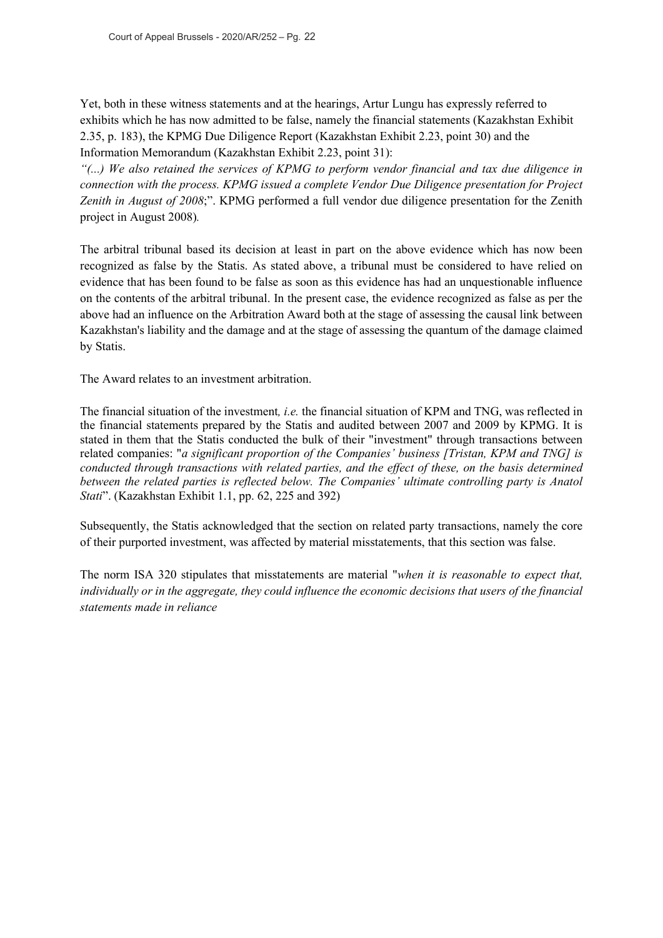Yet, both in these witness statements and at the hearings, Artur Lungu has expressly referred to exhibits which he has now admitted to be false, namely the financial statements (Kazakhstan Exhibit 2.35, p. 183), the KPMG Due Diligence Report (Kazakhstan Exhibit 2.23, point 30) and the Information Memorandum (Kazakhstan Exhibit 2.23, point 31):

*"(...) We also retained the services of KPMG to perform vendor financial and tax due diligence in connection with the process. KPMG issued a complete Vendor Due Diligence presentation for Project Zenith in August of 2008*;". KPMG performed a full vendor due diligence presentation for the Zenith project in August 2008)*.*

The arbitral tribunal based its decision at least in part on the above evidence which has now been recognized as false by the Statis. As stated above, a tribunal must be considered to have relied on evidence that has been found to be false as soon as this evidence has had an unquestionable influence on the contents of the arbitral tribunal. In the present case, the evidence recognized as false as per the above had an influence on the Arbitration Award both at the stage of assessing the causal link between Kazakhstan's liability and the damage and at the stage of assessing the quantum of the damage claimed by Statis.

The Award relates to an investment arbitration.

The financial situation of the investment*, i.e.* the financial situation of KPM and TNG, was reflected in the financial statements prepared by the Statis and audited between 2007 and 2009 by KPMG. It is stated in them that the Statis conducted the bulk of their "investment" through transactions between related companies: "*a significant proportion of the Companies' business [Tristan, KPM and TNG] is conducted through transactions with related parties, and the effect of these, on the basis determined between the related parties is reflected below. The Companies' ultimate controlling party is Anatol Stati*". (Kazakhstan Exhibit 1.1, pp. 62, 225 and 392)

Subsequently, the Statis acknowledged that the section on related party transactions, namely the core of their purported investment, was affected by material misstatements, that this section was false.

The norm ISA 320 stipulates that misstatements are material "*when it is reasonable to expect that, individually or in the aggregate, they could influence the economic decisions that users of the financial statements made in reliance*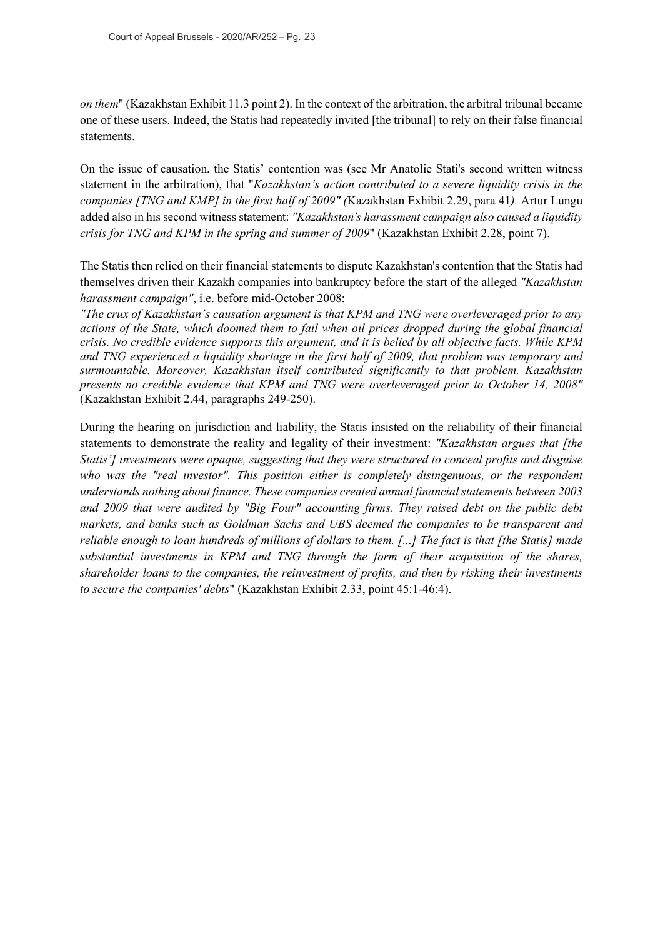*on them*" (Kazakhstan Exhibit 11.3 point 2). In the context of the arbitration, the arbitral tribunal became one of these users. Indeed, the Statis had repeatedly invited [the tribunal] to rely on their false financial statements.

On the issue of causation, the Statis' contention was (see Mr Anatolie Stati's second written witness statement in the arbitration), that "*Kazakhstan's action contributed to a severe liquidity crisis in the companies [TNG and KMP] in the first half of 2009" (*Kazakhstan Exhibit 2.29, para 41*).* Artur Lungu added also in his second witness statement: *"Kazakhstan's harassment campaign also caused a liquidity crisis for TNG and KPM in the spring and summer of 2009*" (Kazakhstan Exhibit 2.28, point 7).

The Statis then relied on their financial statements to dispute Kazakhstan's contention that the Statis had themselves driven their Kazakh companies into bankruptcy before the start of the alleged *"Kazakhstan harassment campaign"*, i.e. before mid-October 2008:

*"The crux of Kazakhstan's causation argument is that KPM and TNG were overleveraged prior to any actions of the State, which doomed them to fail when oil prices dropped during the global financial crisis. No credible evidence supports this argument, and it is belied by all objective facts. While KPM and TNG experienced a liquidity shortage in the first half of 2009, that problem was temporary and surmountable. Moreover, Kazakhstan itself contributed significantly to that problem. Kazakhstan presents no credible evidence that KPM and TNG were overleveraged prior to October 14, 2008"* (Kazakhstan Exhibit 2.44, paragraphs 249-250).

During the hearing on jurisdiction and liability, the Statis insisted on the reliability of their financial statements to demonstrate the reality and legality of their investment: *"Kazakhstan argues that [the Statis'] investments were opaque, suggesting that they were structured to conceal profits and disguise who was the "real investor". This position either is completely disingenuous, or the respondent understands nothing about finance. These companies created annual financial statements between 2003 and 2009 that were audited by "Big Four" accounting firms. They raised debt on the public debt markets, and banks such as Goldman Sachs and UBS deemed the companies to be transparent and reliable enough to loan hundreds of millions of dollars to them. [...] The fact is that [the Statis] made substantial investments in KPM and TNG through the form of their acquisition of the shares, shareholder loans to the companies, the reinvestment of profits, and then by risking their investments to secure the companies' debts*" (Kazakhstan Exhibit 2.33, point 45:1-46:4).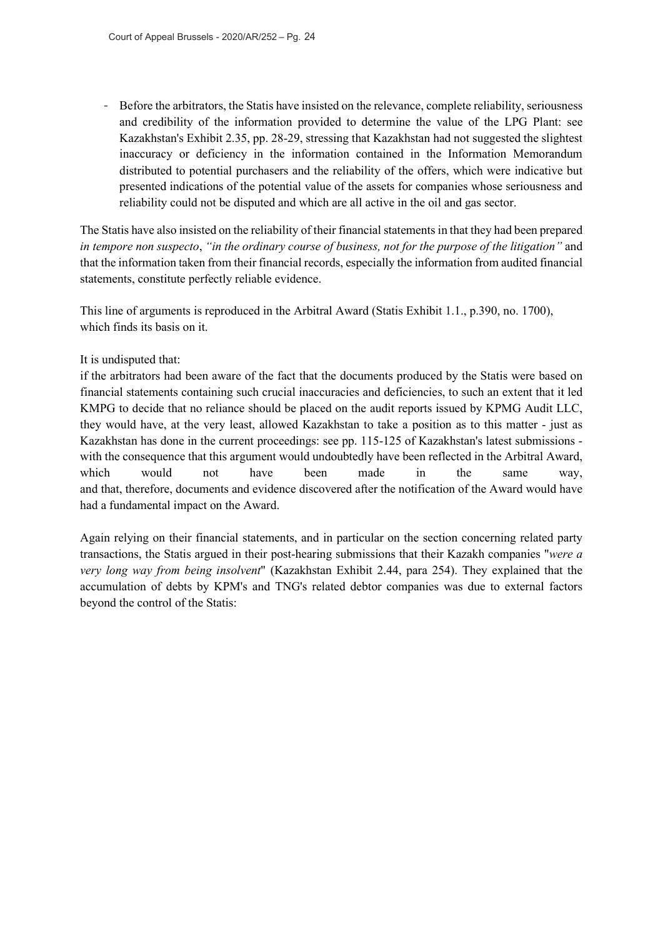- Before the arbitrators, the Statis have insisted on the relevance, complete reliability, seriousness and credibility of the information provided to determine the value of the LPG Plant: see Kazakhstan's Exhibit 2.35, pp. 28-29, stressing that Kazakhstan had not suggested the slightest inaccuracy or deficiency in the information contained in the Information Memorandum distributed to potential purchasers and the reliability of the offers, which were indicative but presented indications of the potential value of the assets for companies whose seriousness and reliability could not be disputed and which are all active in the oil and gas sector.

The Statis have also insisted on the reliability of their financial statements in that they had been prepared *in tempore non suspecto*, *"in the ordinary course of business, not for the purpose of the litigation"* and that the information taken from their financial records, especially the information from audited financial statements, constitute perfectly reliable evidence.

This line of arguments is reproduced in the Arbitral Award (Statis Exhibit 1.1., p.390, no. 1700), which finds its basis on it.

#### It is undisputed that:

if the arbitrators had been aware of the fact that the documents produced by the Statis were based on financial statements containing such crucial inaccuracies and deficiencies, to such an extent that it led KMPG to decide that no reliance should be placed on the audit reports issued by KPMG Audit LLC, they would have, at the very least, allowed Kazakhstan to take a position as to this matter - just as Kazakhstan has done in the current proceedings: see pp. 115-125 of Kazakhstan's latest submissions with the consequence that this argument would undoubtedly have been reflected in the Arbitral Award, which would not have been made in the same way, and that, therefore, documents and evidence discovered after the notification of the Award would have had a fundamental impact on the Award.

Again relying on their financial statements, and in particular on the section concerning related party transactions, the Statis argued in their post-hearing submissions that their Kazakh companies "*were a very long way from being insolvent*" (Kazakhstan Exhibit 2.44, para 254). They explained that the accumulation of debts by KPM's and TNG's related debtor companies was due to external factors beyond the control of the Statis: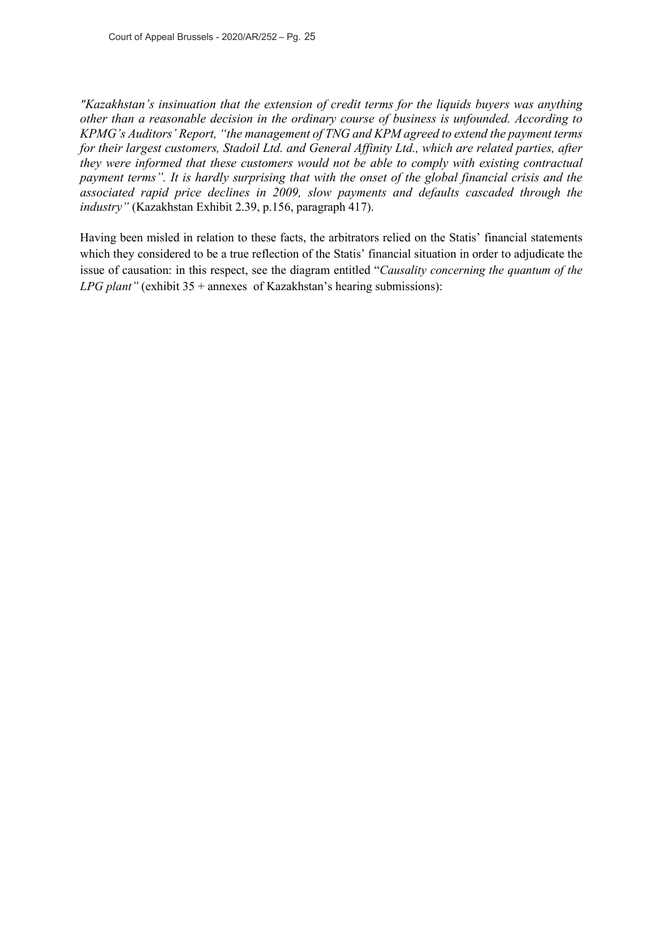*"Kazakhstan's insinuation that the extension of credit terms for the liquids buyers was anything other than a reasonable decision in the ordinary course of business is unfounded. According to KPMG's Auditors' Report, "the management of TNG and KPM agreed to extend the payment terms for their largest customers, Stadoil Ltd. and General Affinity Ltd., which are related parties, after they were informed that these customers would not be able to comply with existing contractual payment terms". It is hardly surprising that with the onset of the global financial crisis and the associated rapid price declines in 2009, slow payments and defaults cascaded through the industry"* (Kazakhstan Exhibit 2.39, p.156, paragraph 417).

Having been misled in relation to these facts, the arbitrators relied on the Statis' financial statements which they considered to be a true reflection of the Statis' financial situation in order to adjudicate the issue of causation: in this respect, see the diagram entitled "*Causality concerning the quantum of the LPG plant"* (exhibit 35 + annexes of Kazakhstan's hearing submissions):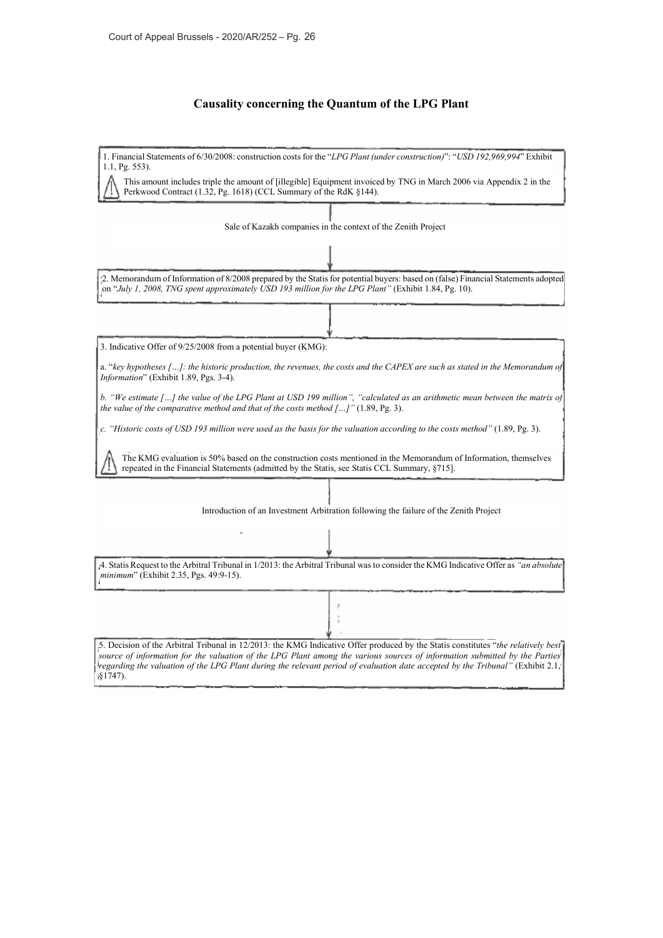#### **Causality concerning the Quantum of the LPG Plant**

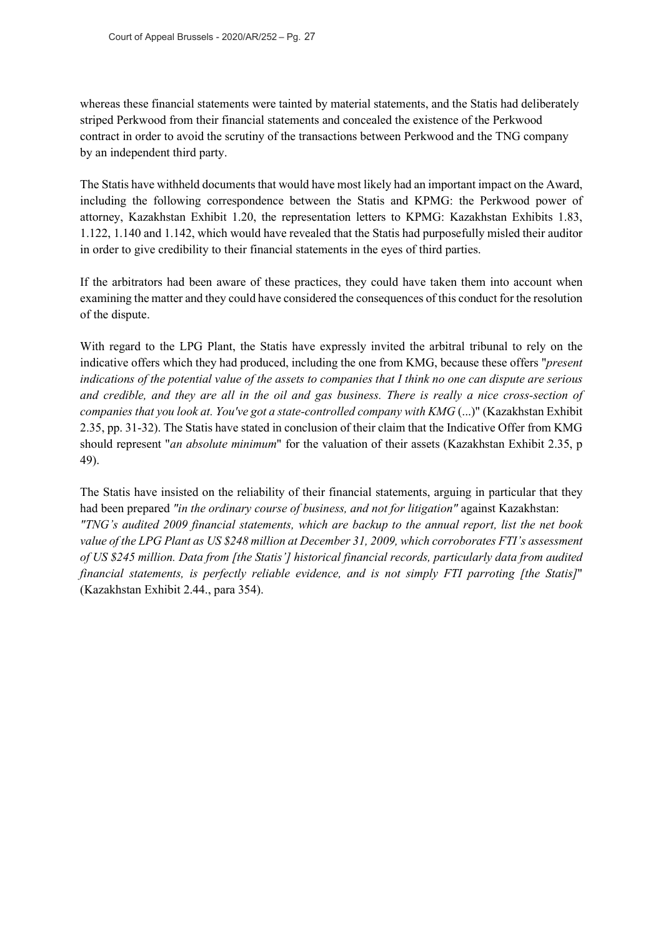whereas these financial statements were tainted by material statements, and the Statis had deliberately striped Perkwood from their financial statements and concealed the existence of the Perkwood contract in order to avoid the scrutiny of the transactions between Perkwood and the TNG company by an independent third party.

The Statis have withheld documents that would have most likely had an important impact on the Award, including the following correspondence between the Statis and KPMG: the Perkwood power of attorney, Kazakhstan Exhibit 1.20, the representation letters to KPMG: Kazakhstan Exhibits 1.83, 1.122, 1.140 and 1.142, which would have revealed that the Statis had purposefully misled their auditor in order to give credibility to their financial statements in the eyes of third parties.

If the arbitrators had been aware of these practices, they could have taken them into account when examining the matter and they could have considered the consequences of this conduct for the resolution of the dispute.

With regard to the LPG Plant, the Statis have expressly invited the arbitral tribunal to rely on the indicative offers which they had produced, including the one from KMG, because these offers "*present indications of the potential value of the assets to companies that I think no one can dispute are serious and credible, and they are all in the oil and gas business. There is really a nice cross-section of companies that you look at. You've got a state-controlled company with KMG* (...)" (Kazakhstan Exhibit 2.35, pp. 31-32). The Statis have stated in conclusion of their claim that the Indicative Offer from KMG should represent "*an absolute minimum*" for the valuation of their assets (Kazakhstan Exhibit 2.35, p 49).

The Statis have insisted on the reliability of their financial statements, arguing in particular that they had been prepared *"in the ordinary course of business, and not for litigation"* against Kazakhstan: *"TNG's audited 2009 financial statements, which are backup to the annual report, list the net book value of the LPG Plant as US \$248 million at December 31, 2009, which corroborates FTI's assessment of US \$245 million. Data from [the Statis'] historical financial records, particularly data from audited financial statements, is perfectly reliable evidence, and is not simply FTI parroting [the Statis]*" (Kazakhstan Exhibit 2.44., para 354).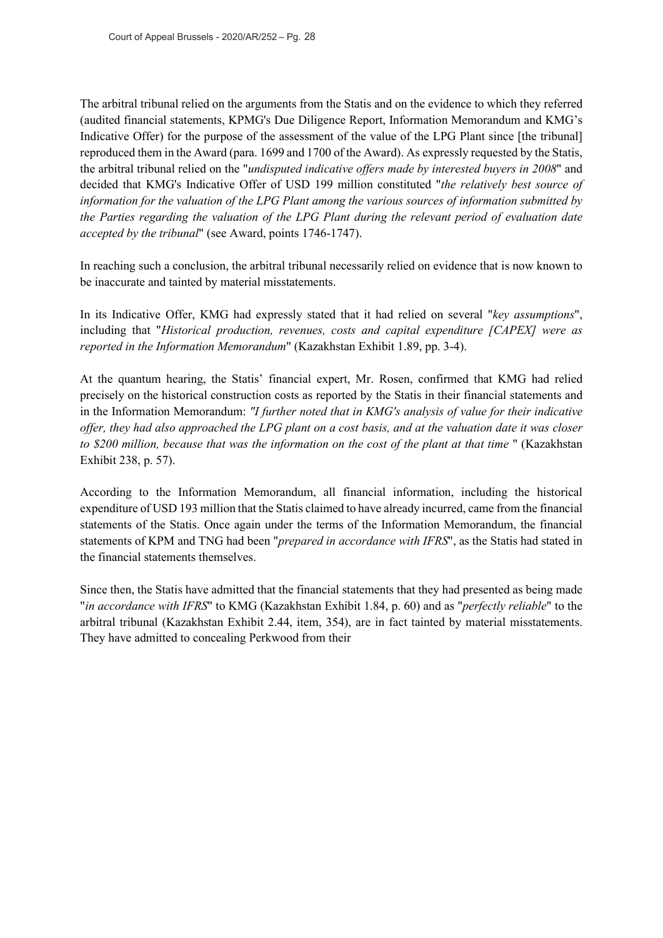The arbitral tribunal relied on the arguments from the Statis and on the evidence to which they referred (audited financial statements, KPMG's Due Diligence Report, Information Memorandum and KMG's Indicative Offer) for the purpose of the assessment of the value of the LPG Plant since [the tribunal] reproduced them in the Award (para. 1699 and 1700 of the Award). As expressly requested by the Statis, the arbitral tribunal relied on the "*undisputed indicative offers made by interested buyers in 2008*" and decided that KMG's Indicative Offer of USD 199 million constituted "*the relatively best source of information for the valuation of the LPG Plant among the various sources of information submitted by the Parties regarding the valuation of the LPG Plant during the relevant period of evaluation date accepted by the tribunal*" (see Award, points 1746-1747).

In reaching such a conclusion, the arbitral tribunal necessarily relied on evidence that is now known to be inaccurate and tainted by material misstatements.

In its Indicative Offer, KMG had expressly stated that it had relied on several "*key assumptions*", including that "*Historical production, revenues, costs and capital expenditure [CAPEX] were as reported in the Information Memorandum*" (Kazakhstan Exhibit 1.89, pp. 3-4).

At the quantum hearing, the Statis' financial expert, Mr. Rosen, confirmed that KMG had relied precisely on the historical construction costs as reported by the Statis in their financial statements and in the Information Memorandum: *"I further noted that in KMG's analysis of value for their indicative offer, they had also approached the LPG plant on a cost basis, and at the valuation date it was closer to \$200 million, because that was the information on the cost of the plant at that time* " (Kazakhstan Exhibit 238, p. 57).

According to the Information Memorandum, all financial information, including the historical expenditure of USD 193 million that the Statis claimed to have already incurred, came from the financial statements of the Statis. Once again under the terms of the Information Memorandum, the financial statements of KPM and TNG had been "*prepared in accordance with IFRS*", as the Statis had stated in the financial statements themselves.

Since then, the Statis have admitted that the financial statements that they had presented as being made "*in accordance with IFRS*" to KMG (Kazakhstan Exhibit 1.84, p. 60) and as "*perfectly reliable*" to the arbitral tribunal (Kazakhstan Exhibit 2.44, item, 354), are in fact tainted by material misstatements. They have admitted to concealing Perkwood from their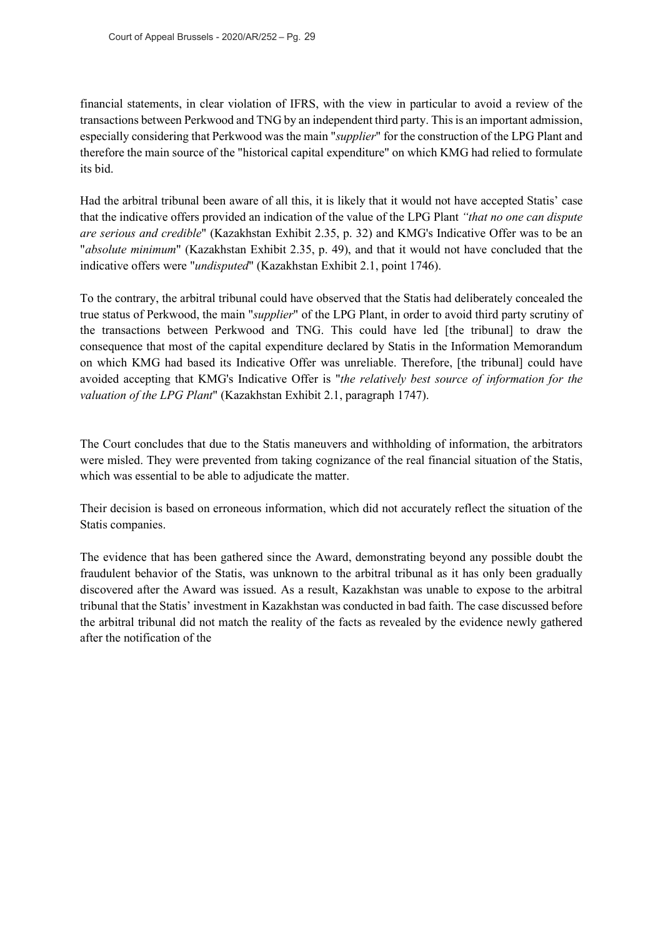financial statements, in clear violation of IFRS, with the view in particular to avoid a review of the transactions between Perkwood and TNG by an independent third party. This is an important admission, especially considering that Perkwood was the main "*supplier*" for the construction of the LPG Plant and therefore the main source of the "historical capital expenditure" on which KMG had relied to formulate its bid.

Had the arbitral tribunal been aware of all this, it is likely that it would not have accepted Statis' case that the indicative offers provided an indication of the value of the LPG Plant *"that no one can dispute are serious and credible*" (Kazakhstan Exhibit 2.35, p. 32) and KMG's Indicative Offer was to be an "*absolute minimum*" (Kazakhstan Exhibit 2.35, p. 49), and that it would not have concluded that the indicative offers were "*undisputed*" (Kazakhstan Exhibit 2.1, point 1746).

To the contrary, the arbitral tribunal could have observed that the Statis had deliberately concealed the true status of Perkwood, the main "*supplier*" of the LPG Plant, in order to avoid third party scrutiny of the transactions between Perkwood and TNG. This could have led [the tribunal] to draw the consequence that most of the capital expenditure declared by Statis in the Information Memorandum on which KMG had based its Indicative Offer was unreliable. Therefore, [the tribunal] could have avoided accepting that KMG's Indicative Offer is "*the relatively best source of information for the valuation of the LPG Plant*" (Kazakhstan Exhibit 2.1, paragraph 1747).

The Court concludes that due to the Statis maneuvers and withholding of information, the arbitrators were misled. They were prevented from taking cognizance of the real financial situation of the Statis, which was essential to be able to adjudicate the matter.

Their decision is based on erroneous information, which did not accurately reflect the situation of the Statis companies.

The evidence that has been gathered since the Award, demonstrating beyond any possible doubt the fraudulent behavior of the Statis, was unknown to the arbitral tribunal as it has only been gradually discovered after the Award was issued. As a result, Kazakhstan was unable to expose to the arbitral tribunal that the Statis' investment in Kazakhstan was conducted in bad faith. The case discussed before the arbitral tribunal did not match the reality of the facts as revealed by the evidence newly gathered after the notification of the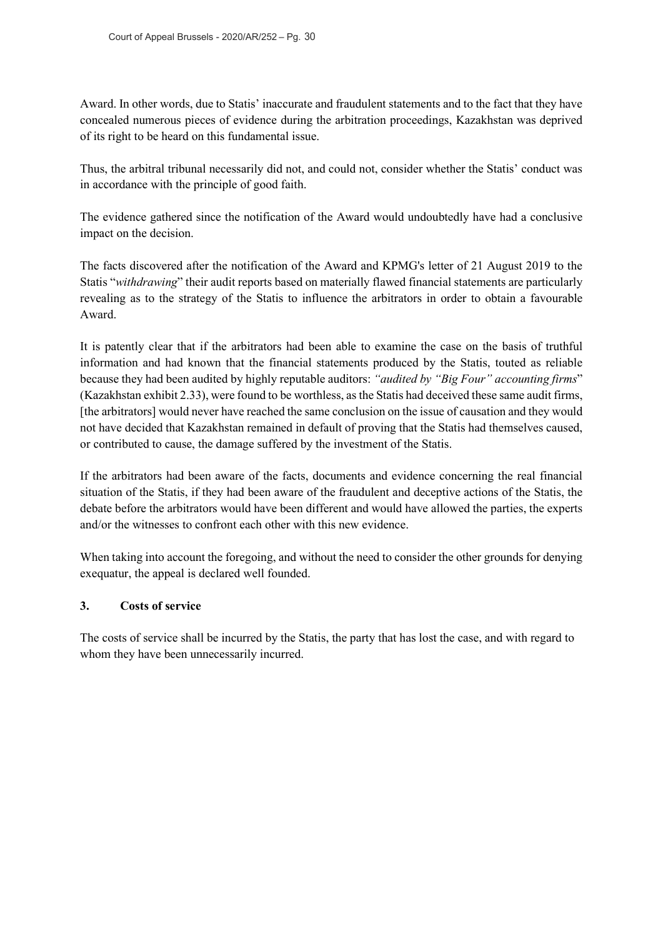Award. In other words, due to Statis' inaccurate and fraudulent statements and to the fact that they have concealed numerous pieces of evidence during the arbitration proceedings, Kazakhstan was deprived of its right to be heard on this fundamental issue.

Thus, the arbitral tribunal necessarily did not, and could not, consider whether the Statis' conduct was in accordance with the principle of good faith.

The evidence gathered since the notification of the Award would undoubtedly have had a conclusive impact on the decision.

The facts discovered after the notification of the Award and KPMG's letter of 21 August 2019 to the Statis "*withdrawing*" their audit reports based on materially flawed financial statements are particularly revealing as to the strategy of the Statis to influence the arbitrators in order to obtain a favourable Award.

It is patently clear that if the arbitrators had been able to examine the case on the basis of truthful information and had known that the financial statements produced by the Statis, touted as reliable because they had been audited by highly reputable auditors: *"audited by "Big Four" accounting firms*" (Kazakhstan exhibit 2.33), were found to be worthless, as the Statis had deceived these same audit firms, [the arbitrators] would never have reached the same conclusion on the issue of causation and they would not have decided that Kazakhstan remained in default of proving that the Statis had themselves caused, or contributed to cause, the damage suffered by the investment of the Statis.

If the arbitrators had been aware of the facts, documents and evidence concerning the real financial situation of the Statis, if they had been aware of the fraudulent and deceptive actions of the Statis, the debate before the arbitrators would have been different and would have allowed the parties, the experts and/or the witnesses to confront each other with this new evidence.

When taking into account the foregoing, and without the need to consider the other grounds for denying exequatur, the appeal is declared well founded.

#### **3. Costs of service**

The costs of service shall be incurred by the Statis, the party that has lost the case, and with regard to whom they have been unnecessarily incurred.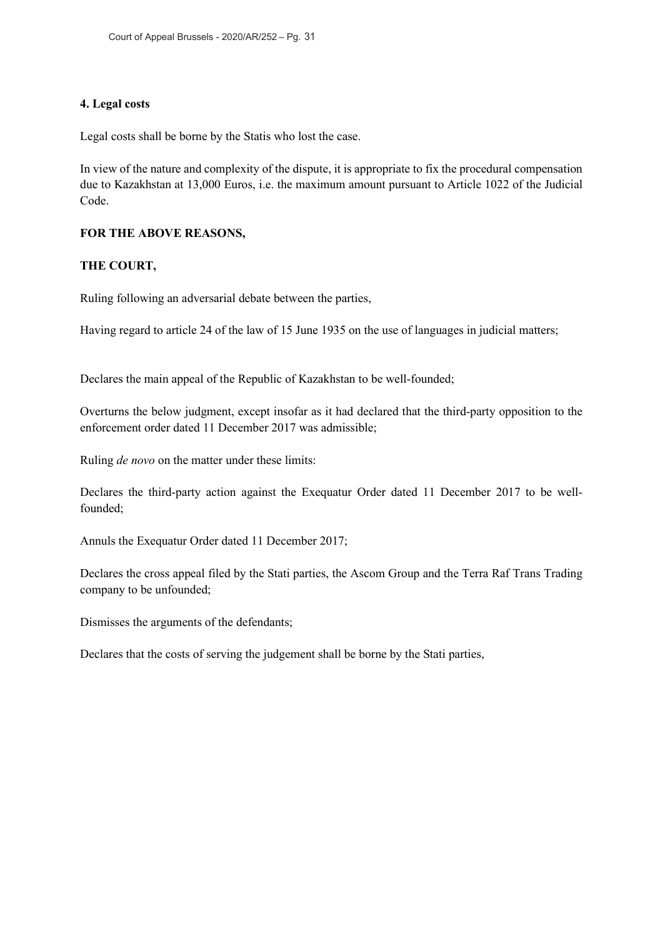## **4. Legal costs**

Legal costs shall be borne by the Statis who lost the case.

In view of the nature and complexity of the dispute, it is appropriate to fix the procedural compensation due to Kazakhstan at 13,000 Euros, i.e. the maximum amount pursuant to Article 1022 of the Judicial Code.

## **FOR THE ABOVE REASONS,**

## **THE COURT,**

Ruling following an adversarial debate between the parties,

Having regard to article 24 of the law of 15 June 1935 on the use of languages in judicial matters;

Declares the main appeal of the Republic of Kazakhstan to be well-founded;

Overturns the below judgment, except insofar as it had declared that the third-party opposition to the enforcement order dated 11 December 2017 was admissible;

Ruling *de novo* on the matter under these limits:

Declares the third-party action against the Exequatur Order dated 11 December 2017 to be wellfounded;

Annuls the Exequatur Order dated 11 December 2017;

Declares the cross appeal filed by the Stati parties, the Ascom Group and the Terra Raf Trans Trading company to be unfounded;

Dismisses the arguments of the defendants;

Declares that the costs of serving the judgement shall be borne by the Stati parties,